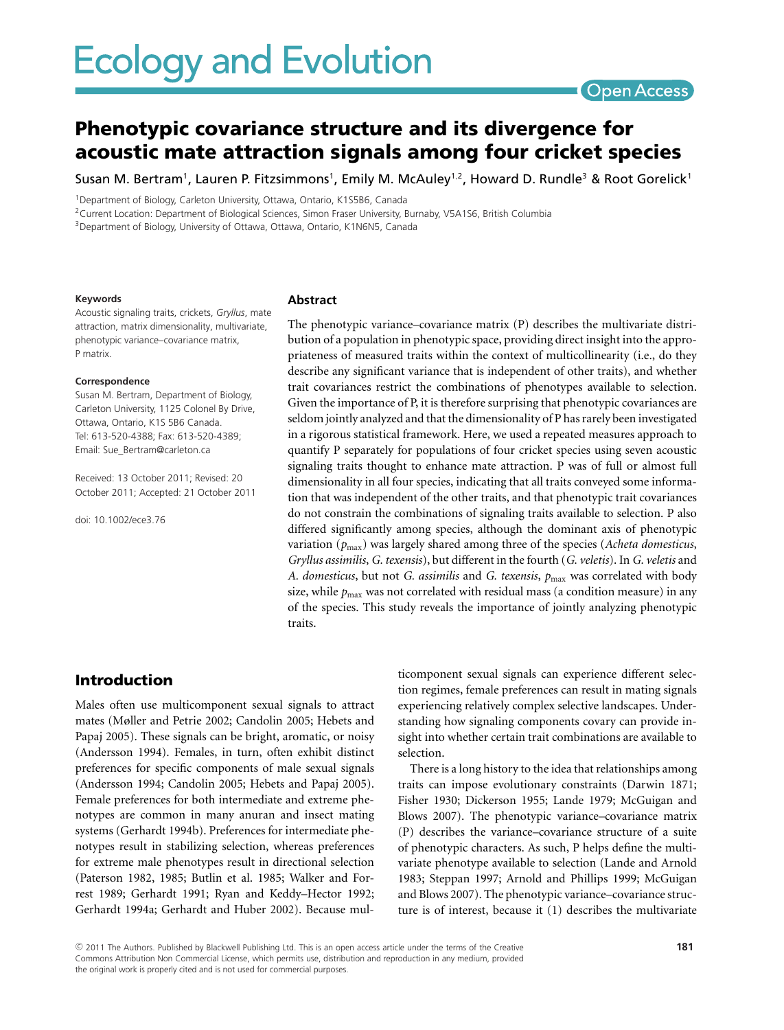# Open Access

# **Phenotypic covariance structure and its divergence for acoustic mate attraction signals among four cricket species**

Susan M. Bertram<sup>1</sup>, Lauren P. Fitzsimmons<sup>1</sup>, Emily M. McAuley<sup>1,2</sup>, Howard D. Rundle<sup>3</sup> & Root Gorelick<sup>1</sup>

<sup>1</sup>Department of Biology, Carleton University, Ottawa, Ontario, K1S5B6, Canada

2Current Location: Department of Biological Sciences, Simon Fraser University, Burnaby, V5A1S6, British Columbia

<sup>3</sup> Department of Biology, University of Ottawa, Ottawa, Ontario, K1N6N5, Canada

#### **Keywords**

Acoustic signaling traits, crickets, *Gryllus*, mate attraction, matrix dimensionality, multivariate, phenotypic variance–covariance matrix, P matrix.

#### **Correspondence**

Susan M. Bertram, Department of Biology, Carleton University, 1125 Colonel By Drive, Ottawa, Ontario, K1S 5B6 Canada. Tel: 613-520-4388; Fax: 613-520-4389; Email: Sue\_Bertram@carleton.ca

Received: 13 October 2011; Revised: 20 October 2011; Accepted: 21 October 2011

doi: 10.1002/ece3.76

#### **Abstract**

The phenotypic variance–covariance matrix (P) describes the multivariate distribution of a population in phenotypic space, providing direct insight into the appropriateness of measured traits within the context of multicollinearity (i.e., do they describe any significant variance that is independent of other traits), and whether trait covariances restrict the combinations of phenotypes available to selection. Given the importance of P, it is therefore surprising that phenotypic covariances are seldom jointly analyzed and that the dimensionality of P has rarely been investigated in a rigorous statistical framework. Here, we used a repeated measures approach to quantify P separately for populations of four cricket species using seven acoustic signaling traits thought to enhance mate attraction. P was of full or almost full dimensionality in all four species, indicating that all traits conveyed some information that was independent of the other traits, and that phenotypic trait covariances do not constrain the combinations of signaling traits available to selection. P also differed significantly among species, although the dominant axis of phenotypic variation (*p*max) was largely shared among three of the species (*Acheta domesticus*, *Gryllus assimilis*, *G. texensis*), but different in the fourth (*G. veletis*). In *G. veletis* and *A. domesticus*, but not *G. assimilis* and *G. texensis*, *p*max was correlated with body size, while  $p_{\text{max}}$  was not correlated with residual mass (a condition measure) in any of the species. This study reveals the importance of jointly analyzing phenotypic traits.

# **Introduction**

Males often use multicomponent sexual signals to attract mates (Møller and Petrie 2002; Candolin 2005; Hebets and Papaj 2005). These signals can be bright, aromatic, or noisy (Andersson 1994). Females, in turn, often exhibit distinct preferences for specific components of male sexual signals (Andersson 1994; Candolin 2005; Hebets and Papaj 2005). Female preferences for both intermediate and extreme phenotypes are common in many anuran and insect mating systems (Gerhardt 1994b). Preferences for intermediate phenotypes result in stabilizing selection, whereas preferences for extreme male phenotypes result in directional selection (Paterson 1982, 1985; Butlin et al. 1985; Walker and Forrest 1989; Gerhardt 1991; Ryan and Keddy–Hector 1992; Gerhardt 1994a; Gerhardt and Huber 2002). Because multicomponent sexual signals can experience different selection regimes, female preferences can result in mating signals experiencing relatively complex selective landscapes. Understanding how signaling components covary can provide insight into whether certain trait combinations are available to selection.

There is a long history to the idea that relationships among traits can impose evolutionary constraints (Darwin 1871; Fisher 1930; Dickerson 1955; Lande 1979; McGuigan and Blows 2007). The phenotypic variance–covariance matrix (P) describes the variance–covariance structure of a suite of phenotypic characters. As such, P helps define the multivariate phenotype available to selection (Lande and Arnold 1983; Steppan 1997; Arnold and Phillips 1999; McGuigan and Blows 2007). The phenotypic variance–covariance structure is of interest, because it (1) describes the multivariate

 $©$  2011 The Authors. Published by Blackwell Publishing Ltd. This is an open access article under the terms of the Creative Commons Attribution Non Commercial License, which permits use, distribution and reproduction in any medium, provided the original work is properly cited and is not used for commercial purposes.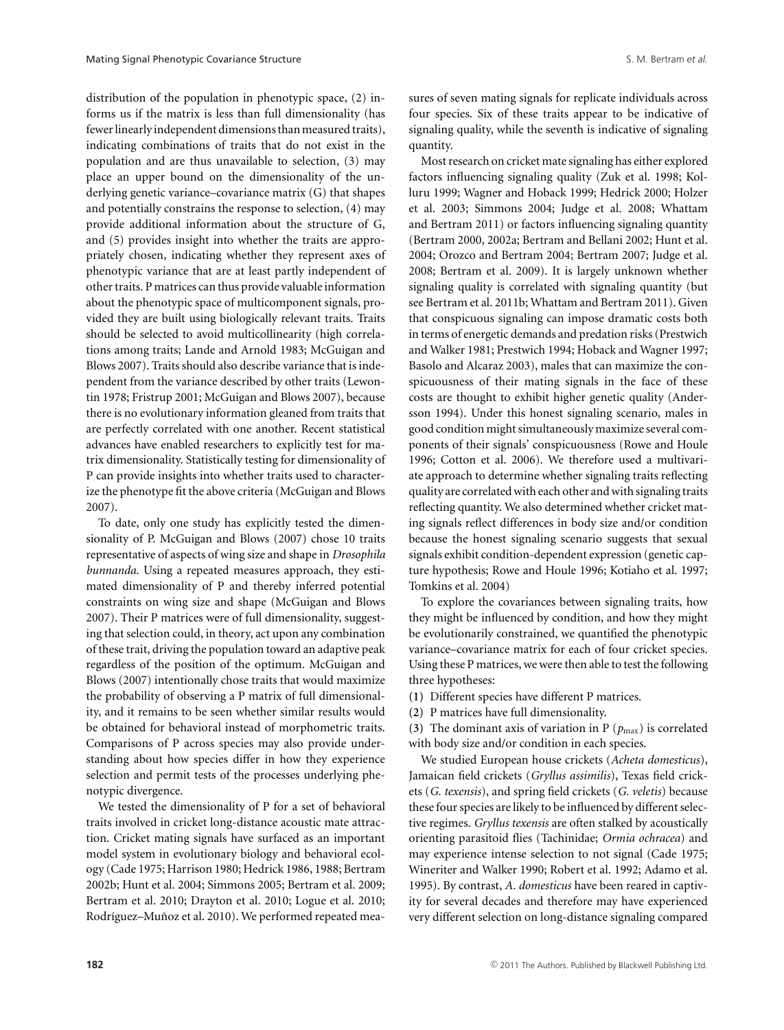distribution of the population in phenotypic space, (2) informs us if the matrix is less than full dimensionality (has fewer linearly independent dimensions than measured traits), indicating combinations of traits that do not exist in the population and are thus unavailable to selection, (3) may place an upper bound on the dimensionality of the underlying genetic variance–covariance matrix (G) that shapes and potentially constrains the response to selection, (4) may provide additional information about the structure of G, and (5) provides insight into whether the traits are appropriately chosen, indicating whether they represent axes of phenotypic variance that are at least partly independent of other traits. P matrices can thus provide valuable information about the phenotypic space of multicomponent signals, provided they are built using biologically relevant traits. Traits should be selected to avoid multicollinearity (high correlations among traits; Lande and Arnold 1983; McGuigan and Blows 2007). Traits should also describe variance that is independent from the variance described by other traits (Lewontin 1978; Fristrup 2001; McGuigan and Blows 2007), because there is no evolutionary information gleaned from traits that are perfectly correlated with one another. Recent statistical advances have enabled researchers to explicitly test for matrix dimensionality. Statistically testing for dimensionality of P can provide insights into whether traits used to characterize the phenotype fit the above criteria (McGuigan and Blows 2007).

To date, only one study has explicitly tested the dimensionality of P. McGuigan and Blows (2007) chose 10 traits representative of aspects of wing size and shape in *Drosophila bunnanda*. Using a repeated measures approach, they estimated dimensionality of P and thereby inferred potential constraints on wing size and shape (McGuigan and Blows 2007). Their P matrices were of full dimensionality, suggesting that selection could, in theory, act upon any combination of these trait, driving the population toward an adaptive peak regardless of the position of the optimum. McGuigan and Blows (2007) intentionally chose traits that would maximize the probability of observing a P matrix of full dimensionality, and it remains to be seen whether similar results would be obtained for behavioral instead of morphometric traits. Comparisons of P across species may also provide understanding about how species differ in how they experience selection and permit tests of the processes underlying phenotypic divergence.

We tested the dimensionality of P for a set of behavioral traits involved in cricket long-distance acoustic mate attraction. Cricket mating signals have surfaced as an important model system in evolutionary biology and behavioral ecology (Cade 1975; Harrison 1980; Hedrick 1986, 1988; Bertram 2002b; Hunt et al. 2004; Simmons 2005; Bertram et al. 2009; Bertram et al. 2010; Drayton et al. 2010; Logue et al. 2010; Rodríguez–Muñoz et al. 2010). We performed repeated measures of seven mating signals for replicate individuals across four species. Six of these traits appear to be indicative of signaling quality, while the seventh is indicative of signaling quantity.

Most research on cricket mate signaling has either explored factors influencing signaling quality (Zuk et al. 1998; Kolluru 1999; Wagner and Hoback 1999; Hedrick 2000; Holzer et al. 2003; Simmons 2004; Judge et al. 2008; Whattam and Bertram 2011) or factors influencing signaling quantity (Bertram 2000, 2002a; Bertram and Bellani 2002; Hunt et al. 2004; Orozco and Bertram 2004; Bertram 2007; Judge et al. 2008; Bertram et al. 2009). It is largely unknown whether signaling quality is correlated with signaling quantity (but see Bertram et al. 2011b; Whattam and Bertram 2011). Given that conspicuous signaling can impose dramatic costs both in terms of energetic demands and predation risks (Prestwich and Walker 1981; Prestwich 1994; Hoback and Wagner 1997; Basolo and Alcaraz 2003), males that can maximize the conspicuousness of their mating signals in the face of these costs are thought to exhibit higher genetic quality (Andersson 1994). Under this honest signaling scenario, males in good condition might simultaneously maximize several components of their signals' conspicuousness (Rowe and Houle 1996; Cotton et al. 2006). We therefore used a multivariate approach to determine whether signaling traits reflecting quality are correlated with each other and with signaling traits reflecting quantity. We also determined whether cricket mating signals reflect differences in body size and/or condition because the honest signaling scenario suggests that sexual signals exhibit condition-dependent expression (genetic capture hypothesis; Rowe and Houle 1996; Kotiaho et al. 1997; Tomkins et al. 2004)

To explore the covariances between signaling traits, how they might be influenced by condition, and how they might be evolutionarily constrained, we quantified the phenotypic variance–covariance matrix for each of four cricket species. Using these P matrices, we were then able to test the following three hypotheses:

**(1)** Different species have different P matrices.

**(2)** P matrices have full dimensionality.

(3) The dominant axis of variation in P  $(p_{\text{max}})$  is correlated with body size and/or condition in each species.

We studied European house crickets (*Acheta domesticus*), Jamaican field crickets (*Gryllus assimilis*), Texas field crickets (*G. texensis*), and spring field crickets (*G. veletis*) because these four species are likely to be influenced by different selective regimes. *Gryllus texensis* are often stalked by acoustically orienting parasitoid flies (Tachinidae; *Ormia ochracea*) and may experience intense selection to not signal (Cade 1975; Wineriter and Walker 1990; Robert et al. 1992; Adamo et al. 1995). By contrast, *A. domesticus* have been reared in captivity for several decades and therefore may have experienced very different selection on long-distance signaling compared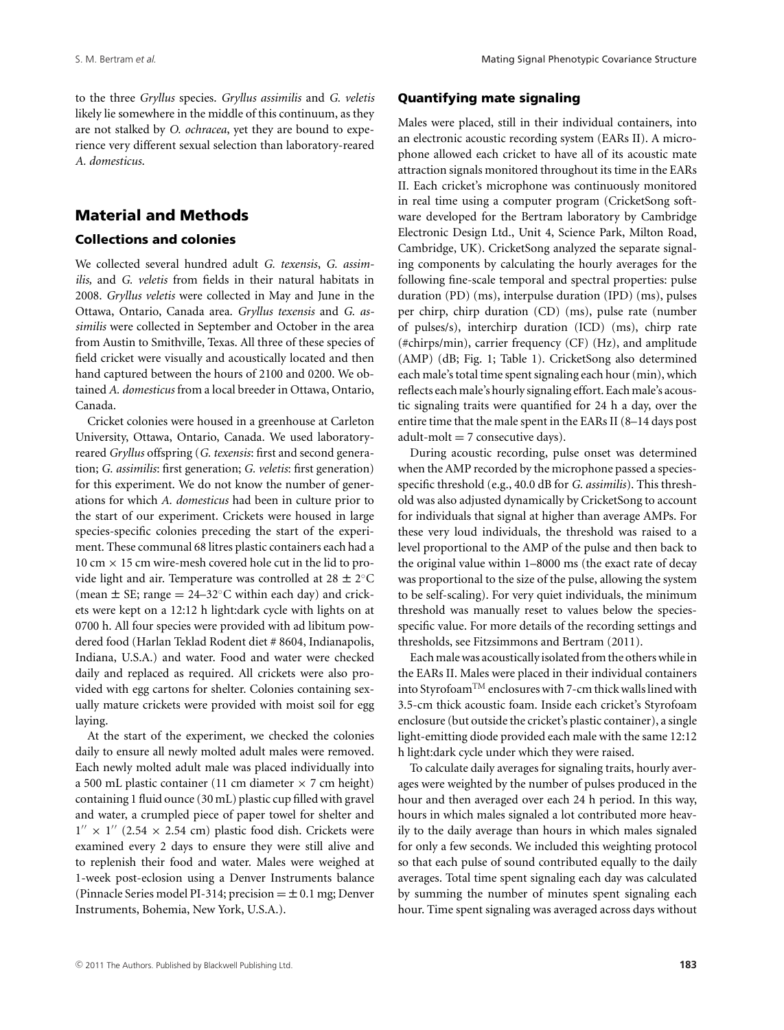to the three *Gryllus* species. *Gryllus assimilis* and *G. veletis* likely lie somewhere in the middle of this continuum, as they are not stalked by *O. ochracea*, yet they are bound to experience very different sexual selection than laboratory-reared *A. domesticus*.

# **Material and Methods**

# **Collections and colonies**

We collected several hundred adult *G. texensis*, *G. assimilis,* and *G. veletis* from fields in their natural habitats in 2008. *Gryllus veletis* were collected in May and June in the Ottawa, Ontario, Canada area. *Gryllus texensis* and *G. assimilis* were collected in September and October in the area from Austin to Smithville, Texas. All three of these species of field cricket were visually and acoustically located and then hand captured between the hours of 2100 and 0200. We obtained *A. domesticus* from a local breeder in Ottawa, Ontario, Canada.

Cricket colonies were housed in a greenhouse at Carleton University, Ottawa, Ontario, Canada. We used laboratoryreared *Gryllus* offspring (*G. texensis*: first and second generation; *G. assimilis*: first generation; *G. veletis*: first generation) for this experiment. We do not know the number of generations for which *A. domesticus* had been in culture prior to the start of our experiment. Crickets were housed in large species-specific colonies preceding the start of the experiment. These communal 68 litres plastic containers each had a  $10 \text{ cm} \times 15 \text{ cm}$  wire-mesh covered hole cut in the lid to provide light and air. Temperature was controlled at  $28 \pm 2$ °C (mean  $\pm$  SE; range = 24–32°C within each day) and crickets were kept on a 12:12 h light:dark cycle with lights on at 0700 h. All four species were provided with ad libitum powdered food (Harlan Teklad Rodent diet # 8604, Indianapolis, Indiana, U.S.A.) and water. Food and water were checked daily and replaced as required. All crickets were also provided with egg cartons for shelter. Colonies containing sexually mature crickets were provided with moist soil for egg laying.

At the start of the experiment, we checked the colonies daily to ensure all newly molted adult males were removed. Each newly molted adult male was placed individually into a 500 mL plastic container (11 cm diameter  $\times$  7 cm height) containing 1 fluid ounce (30 mL) plastic cup filled with gravel and water, a crumpled piece of paper towel for shelter and  $1'' \times 1''$  (2.54  $\times$  2.54 cm) plastic food dish. Crickets were examined every 2 days to ensure they were still alive and to replenish their food and water. Males were weighed at 1-week post-eclosion using a Denver Instruments balance (Pinnacle Series model PI-314; precision  $= \pm 0.1$  mg; Denver Instruments, Bohemia, New York, U.S.A.).

# **Quantifying mate signaling**

Males were placed, still in their individual containers, into an electronic acoustic recording system (EARs II). A microphone allowed each cricket to have all of its acoustic mate attraction signals monitored throughout its time in the EARs II. Each cricket's microphone was continuously monitored in real time using a computer program (CricketSong software developed for the Bertram laboratory by Cambridge Electronic Design Ltd., Unit 4, Science Park, Milton Road, Cambridge, UK). CricketSong analyzed the separate signaling components by calculating the hourly averages for the following fine-scale temporal and spectral properties: pulse duration (PD) (ms), interpulse duration (IPD) (ms), pulses per chirp, chirp duration (CD) (ms), pulse rate (number of pulses/s), interchirp duration (ICD) (ms), chirp rate (#chirps/min), carrier frequency (CF) (Hz), and amplitude (AMP) (dB; Fig. 1; Table 1). CricketSong also determined each male's total time spent signaling each hour (min), which reflects each male's hourly signaling effort. Each male's acoustic signaling traits were quantified for 24 h a day, over the entire time that the male spent in the EARs II (8–14 days post adult-molt  $= 7$  consecutive days).

During acoustic recording, pulse onset was determined when the AMP recorded by the microphone passed a speciesspecific threshold (e.g., 40.0 dB for *G. assimilis*). This threshold was also adjusted dynamically by CricketSong to account for individuals that signal at higher than average AMPs. For these very loud individuals, the threshold was raised to a level proportional to the AMP of the pulse and then back to the original value within 1–8000 ms (the exact rate of decay was proportional to the size of the pulse, allowing the system to be self-scaling). For very quiet individuals, the minimum threshold was manually reset to values below the speciesspecific value. For more details of the recording settings and thresholds, see Fitzsimmons and Bertram (2011).

Each male was acoustically isolated from the others while in the EARs II. Males were placed in their individual containers into Styrofoam<sup>TM</sup> enclosures with 7-cm thick walls lined with 3.5-cm thick acoustic foam. Inside each cricket's Styrofoam enclosure (but outside the cricket's plastic container), a single light-emitting diode provided each male with the same 12:12 h light:dark cycle under which they were raised.

To calculate daily averages for signaling traits, hourly averages were weighted by the number of pulses produced in the hour and then averaged over each 24 h period. In this way, hours in which males signaled a lot contributed more heavily to the daily average than hours in which males signaled for only a few seconds. We included this weighting protocol so that each pulse of sound contributed equally to the daily averages. Total time spent signaling each day was calculated by summing the number of minutes spent signaling each hour. Time spent signaling was averaged across days without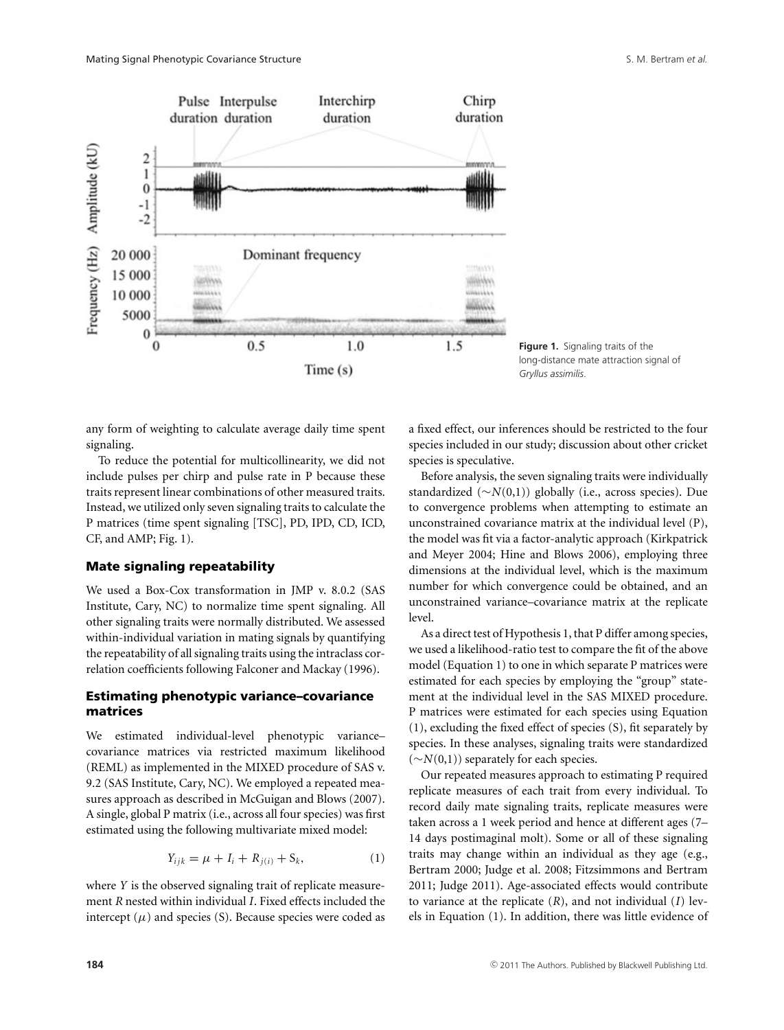

**Figure 1.** Signaling traits of the long-distance mate attraction signal of *Gryllus assimilis*.

any form of weighting to calculate average daily time spent signaling.

To reduce the potential for multicollinearity, we did not include pulses per chirp and pulse rate in P because these traits represent linear combinations of other measured traits. Instead, we utilized only seven signaling traits to calculate the P matrices (time spent signaling [TSC], PD, IPD, CD, ICD, CF, and AMP; Fig. 1).

#### **Mate signaling repeatability**

We used a Box-Cox transformation in JMP v. 8.0.2 (SAS Institute, Cary, NC) to normalize time spent signaling. All other signaling traits were normally distributed. We assessed within-individual variation in mating signals by quantifying the repeatability of all signaling traits using the intraclass correlation coefficients following Falconer and Mackay (1996).

# **Estimating phenotypic variance–covariance matrices**

We estimated individual-level phenotypic variance– covariance matrices via restricted maximum likelihood (REML) as implemented in the MIXED procedure of SAS v. 9.2 (SAS Institute, Cary, NC). We employed a repeated measures approach as described in McGuigan and Blows (2007). A single, global P matrix (i.e., across all four species) was first estimated using the following multivariate mixed model:

$$
Y_{ijk} = \mu + I_i + R_{j(i)} + S_k, \qquad (1)
$$

where *Y* is the observed signaling trait of replicate measurement *R* nested within individual *I*. Fixed effects included the intercept  $(\mu)$  and species (S). Because species were coded as

a fixed effect, our inferences should be restricted to the four species included in our study; discussion about other cricket species is speculative.

Before analysis, the seven signaling traits were individually standardized (∼*N*(0,1)) globally (i.e., across species). Due to convergence problems when attempting to estimate an unconstrained covariance matrix at the individual level (P), the model was fit via a factor-analytic approach (Kirkpatrick and Meyer 2004; Hine and Blows 2006), employing three dimensions at the individual level, which is the maximum number for which convergence could be obtained, and an unconstrained variance–covariance matrix at the replicate level.

As a direct test of Hypothesis 1, that P differ among species, we used a likelihood-ratio test to compare the fit of the above model (Equation 1) to one in which separate P matrices were estimated for each species by employing the "group" statement at the individual level in the SAS MIXED procedure. P matrices were estimated for each species using Equation (1), excluding the fixed effect of species (S), fit separately by species. In these analyses, signaling traits were standardized (∼*N*(0,1)) separately for each species.

Our repeated measures approach to estimating P required replicate measures of each trait from every individual. To record daily mate signaling traits, replicate measures were taken across a 1 week period and hence at different ages (7– 14 days postimaginal molt). Some or all of these signaling traits may change within an individual as they age (e.g., Bertram 2000; Judge et al. 2008; Fitzsimmons and Bertram 2011; Judge 2011). Age-associated effects would contribute to variance at the replicate (*R*), and not individual (*I*) levels in Equation (1). In addition, there was little evidence of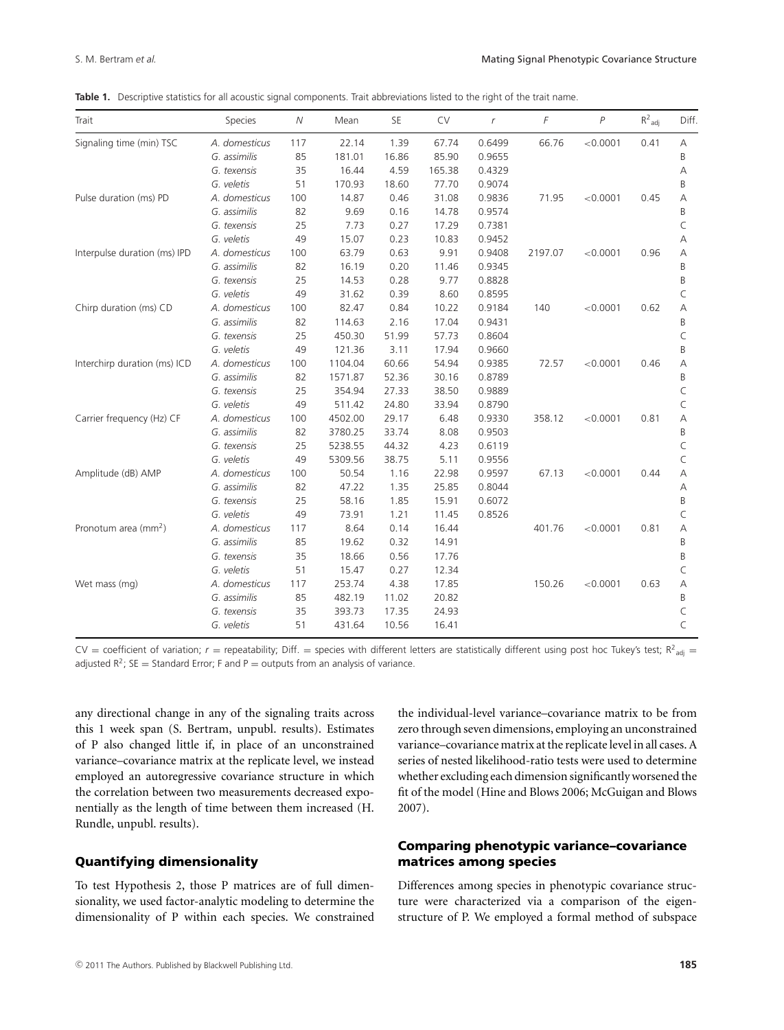|  |  |  |  |  |  | <b>Table 1.</b> Descriptive statistics for all acoustic signal components. Trait abbreviations listed to the right of the trait name. |  |
|--|--|--|--|--|--|---------------------------------------------------------------------------------------------------------------------------------------|--|
|--|--|--|--|--|--|---------------------------------------------------------------------------------------------------------------------------------------|--|

| Trait                            | Species       | Ν   | Mean    | SE    | <b>CV</b> | $\mathsf{r}$ | F       | $\overline{P}$ | $\mathsf{R}^2$ adj | Diff. |
|----------------------------------|---------------|-----|---------|-------|-----------|--------------|---------|----------------|--------------------|-------|
| Signaling time (min) TSC         | A. domesticus | 117 | 22.14   | 1.39  | 67.74     | 0.6499       | 66.76   | < 0.0001       | 0.41               | А     |
|                                  | G. assimilis  | 85  | 181.01  | 16.86 | 85.90     | 0.9655       |         |                |                    | B     |
|                                  | G. texensis   | 35  | 16.44   | 4.59  | 165.38    | 0.4329       |         |                |                    | А     |
|                                  | G. veletis    | 51  | 170.93  | 18.60 | 77.70     | 0.9074       |         |                |                    | B     |
| Pulse duration (ms) PD           | A. domesticus | 100 | 14.87   | 0.46  | 31.08     | 0.9836       | 71.95   | < 0.0001       | 0.45               | Α     |
|                                  | G. assimilis  | 82  | 9.69    | 0.16  | 14.78     | 0.9574       |         |                |                    | Β     |
|                                  | G. texensis   | 25  | 7.73    | 0.27  | 17.29     | 0.7381       |         |                |                    | C     |
|                                  | G. veletis    | 49  | 15.07   | 0.23  | 10.83     | 0.9452       |         |                |                    | Α     |
| Interpulse duration (ms) IPD     | A. domesticus | 100 | 63.79   | 0.63  | 9.91      | 0.9408       | 2197.07 | < 0.0001       | 0.96               | Α     |
|                                  | G. assimilis  | 82  | 16.19   | 0.20  | 11.46     | 0.9345       |         |                |                    | B     |
|                                  | G. texensis   | 25  | 14.53   | 0.28  | 9.77      | 0.8828       |         |                |                    | B     |
|                                  | G. veletis    | 49  | 31.62   | 0.39  | 8.60      | 0.8595       |         |                |                    | C     |
| Chirp duration (ms) CD           | A. domesticus | 100 | 82.47   | 0.84  | 10.22     | 0.9184       | 140     | < 0.0001       | 0.62               | А     |
|                                  | G. assimilis  | 82  | 114.63  | 2.16  | 17.04     | 0.9431       |         |                |                    | Β     |
|                                  | G. texensis   | 25  | 450.30  | 51.99 | 57.73     | 0.8604       |         |                |                    | C     |
|                                  | G. veletis    | 49  | 121.36  | 3.11  | 17.94     | 0.9660       |         |                |                    | B     |
| Interchirp duration (ms) ICD     | A. domesticus | 100 | 1104.04 | 60.66 | 54.94     | 0.9385       | 72.57   | < 0.0001       | 0.46               | A     |
|                                  | G. assimilis  | 82  | 1571.87 | 52.36 | 30.16     | 0.8789       |         |                |                    | Β     |
|                                  | G. texensis   | 25  | 354.94  | 27.33 | 38.50     | 0.9889       |         |                |                    | C     |
|                                  | G. veletis    | 49  | 511.42  | 24.80 | 33.94     | 0.8790       |         |                |                    | C     |
| Carrier frequency (Hz) CF        | A. domesticus | 100 | 4502.00 | 29.17 | 6.48      | 0.9330       | 358.12  | < 0.0001       | 0.81               | A     |
|                                  | G. assimilis  | 82  | 3780.25 | 33.74 | 8.08      | 0.9503       |         |                |                    | B     |
|                                  | G. texensis   | 25  | 5238.55 | 44.32 | 4.23      | 0.6119       |         |                |                    | C     |
|                                  | G. veletis    | 49  | 5309.56 | 38.75 | 5.11      | 0.9556       |         |                |                    | C     |
| Amplitude (dB) AMP               | A. domesticus | 100 | 50.54   | 1.16  | 22.98     | 0.9597       | 67.13   | < 0.0001       | 0.44               | A     |
|                                  | G. assimilis  | 82  | 47.22   | 1.35  | 25.85     | 0.8044       |         |                |                    | Α     |
|                                  | G. texensis   | 25  | 58.16   | 1.85  | 15.91     | 0.6072       |         |                |                    | Β     |
|                                  | G. veletis    | 49  | 73.91   | 1.21  | 11.45     | 0.8526       |         |                |                    | C     |
| Pronotum area (mm <sup>2</sup> ) | A. domesticus | 117 | 8.64    | 0.14  | 16.44     |              | 401.76  | < 0.0001       | 0.81               | A     |
|                                  | G. assimilis  | 85  | 19.62   | 0.32  | 14.91     |              |         |                |                    | B     |
|                                  | G. texensis   | 35  | 18.66   | 0.56  | 17.76     |              |         |                |                    | Β     |
|                                  | G. veletis    | 51  | 15.47   | 0.27  | 12.34     |              |         |                |                    | C     |
| Wet mass (mg)                    | A. domesticus | 117 | 253.74  | 4.38  | 17.85     |              | 150.26  | < 0.0001       | 0.63               | А     |
|                                  | G. assimilis  | 85  | 482.19  | 11.02 | 20.82     |              |         |                |                    | B     |
|                                  | G. texensis   | 35  | 393.73  | 17.35 | 24.93     |              |         |                |                    | C     |
|                                  | G. veletis    | 51  | 431.64  | 10.56 | 16.41     |              |         |                |                    | C     |
|                                  |               |     |         |       |           |              |         |                |                    |       |

CV  $=$  coefficient of variation;  $r =$  repeatability; Diff.  $=$  species with different letters are statistically different using post hoc Tukey's test; R<sup>2</sup><sub>adj</sub>  $=$ adjusted  $R^2$ ; SE = Standard Error; F and P = outputs from an analysis of variance.

any directional change in any of the signaling traits across this 1 week span (S. Bertram, unpubl. results). Estimates of P also changed little if, in place of an unconstrained variance–covariance matrix at the replicate level, we instead employed an autoregressive covariance structure in which the correlation between two measurements decreased exponentially as the length of time between them increased (H. Rundle, unpubl. results).

# **Quantifying dimensionality**

To test Hypothesis 2, those P matrices are of full dimensionality, we used factor-analytic modeling to determine the dimensionality of P within each species. We constrained the individual-level variance–covariance matrix to be from zero through seven dimensions, employing an unconstrained variance–covariance matrix at the replicate level in all cases. A series of nested likelihood-ratio tests were used to determine whether excluding each dimension significantly worsened the fit of the model (Hine and Blows 2006; McGuigan and Blows 2007).

# **Comparing phenotypic variance–covariance matrices among species**

Differences among species in phenotypic covariance structure were characterized via a comparison of the eigenstructure of P. We employed a formal method of subspace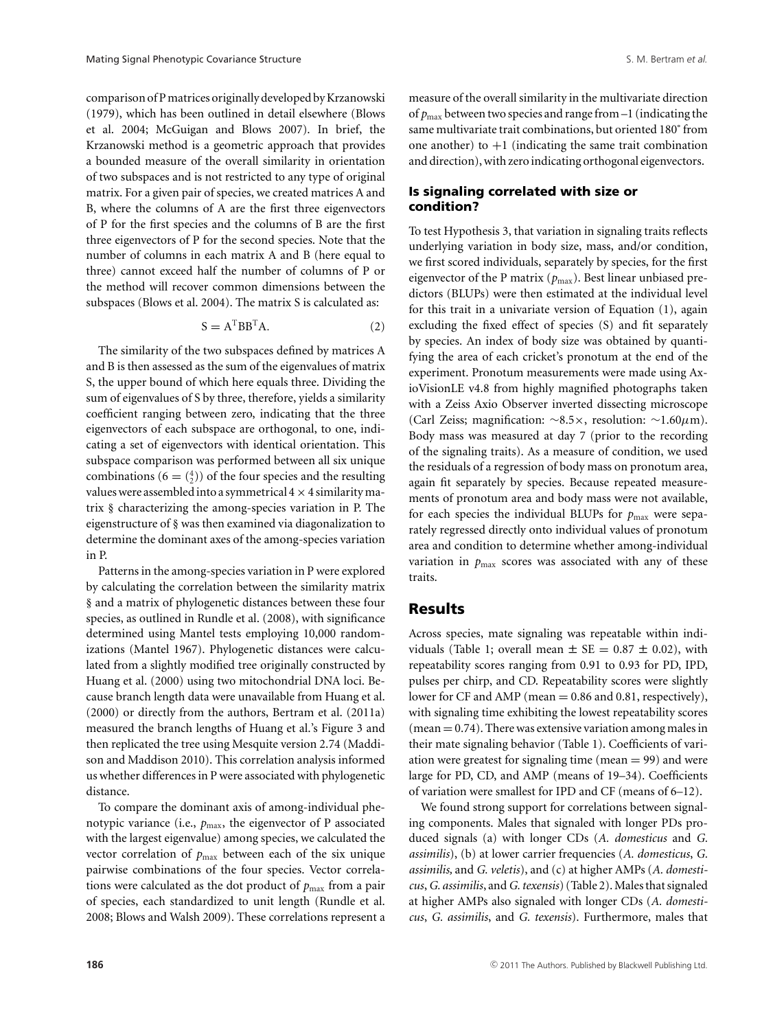comparison of Pmatrices originally developed by Krzanowski (1979), which has been outlined in detail elsewhere (Blows et al. 2004; McGuigan and Blows 2007). In brief, the Krzanowski method is a geometric approach that provides a bounded measure of the overall similarity in orientation of two subspaces and is not restricted to any type of original matrix. For a given pair of species, we created matrices A and B, where the columns of A are the first three eigenvectors of P for the first species and the columns of B are the first three eigenvectors of P for the second species. Note that the number of columns in each matrix A and B (here equal to three) cannot exceed half the number of columns of P or the method will recover common dimensions between the subspaces (Blows et al. 2004). The matrix S is calculated as:

$$
S = A^T B B^T A. \tag{2}
$$

The similarity of the two subspaces defined by matrices A and B is then assessed as the sum of the eigenvalues of matrix S, the upper bound of which here equals three. Dividing the sum of eigenvalues of S by three, therefore, yields a similarity coefficient ranging between zero, indicating that the three eigenvectors of each subspace are orthogonal, to one, indicating a set of eigenvectors with identical orientation. This subspace comparison was performed between all six unique combinations ( $6 = \binom{4}{2}$ ) of the four species and the resulting values were assembled into a symmetrical  $4 \times 4$  similarity matrix § characterizing the among-species variation in P. The eigenstructure of § was then examined via diagonalization to determine the dominant axes of the among-species variation in P.

Patterns in the among-species variation in P were explored by calculating the correlation between the similarity matrix § and a matrix of phylogenetic distances between these four species, as outlined in Rundle et al. (2008), with significance determined using Mantel tests employing 10,000 randomizations (Mantel 1967). Phylogenetic distances were calculated from a slightly modified tree originally constructed by Huang et al. (2000) using two mitochondrial DNA loci. Because branch length data were unavailable from Huang et al. (2000) or directly from the authors, Bertram et al. (2011a) measured the branch lengths of Huang et al.'s Figure 3 and then replicated the tree using Mesquite version 2.74 (Maddison and Maddison 2010). This correlation analysis informed us whether differences in P were associated with phylogenetic distance.

To compare the dominant axis of among-individual phenotypic variance (i.e.,  $p_{\text{max}}$ , the eigenvector of P associated with the largest eigenvalue) among species, we calculated the vector correlation of  $p_{\text{max}}$  between each of the six unique pairwise combinations of the four species. Vector correlations were calculated as the dot product of  $p_{\text{max}}$  from a pair of species, each standardized to unit length (Rundle et al. 2008; Blows and Walsh 2009). These correlations represent a measure of the overall similarity in the multivariate direction of  $p_{\text{max}}$  between two species and range from  $-1$  (indicating the same multivariate trait combinations, but oriented 180˚ from one another) to  $+1$  (indicating the same trait combination and direction), with zero indicating orthogonal eigenvectors.

# **Is signaling correlated with size or condition?**

To test Hypothesis 3, that variation in signaling traits reflects underlying variation in body size, mass, and/or condition, we first scored individuals, separately by species, for the first eigenvector of the P matrix  $(p_{\text{max}})$ . Best linear unbiased predictors (BLUPs) were then estimated at the individual level for this trait in a univariate version of Equation (1), again excluding the fixed effect of species (S) and fit separately by species. An index of body size was obtained by quantifying the area of each cricket's pronotum at the end of the experiment. Pronotum measurements were made using AxioVisionLE v4.8 from highly magnified photographs taken with a Zeiss Axio Observer inverted dissecting microscope (Carl Zeiss; magnification: ∼8.5×, resolution: ∼1.60μm). Body mass was measured at day 7 (prior to the recording of the signaling traits). As a measure of condition, we used the residuals of a regression of body mass on pronotum area, again fit separately by species. Because repeated measurements of pronotum area and body mass were not available, for each species the individual BLUPs for  $p_{\text{max}}$  were separately regressed directly onto individual values of pronotum area and condition to determine whether among-individual variation in  $p_{\text{max}}$  scores was associated with any of these traits.

# **Results**

Across species, mate signaling was repeatable within individuals (Table 1; overall mean  $\pm$  SE = 0.87  $\pm$  0.02), with repeatability scores ranging from 0.91 to 0.93 for PD, IPD, pulses per chirp, and CD. Repeatability scores were slightly lower for CF and AMP (mean = 0.86 and 0.81, respectively), with signaling time exhibiting the lowest repeatability scores  $(mean = 0.74)$ . There was extensive variation among males in their mate signaling behavior (Table 1). Coefficients of variation were greatest for signaling time (mean  $= 99$ ) and were large for PD, CD, and AMP (means of 19–34). Coefficients of variation were smallest for IPD and CF (means of 6–12).

We found strong support for correlations between signaling components. Males that signaled with longer PDs produced signals (a) with longer CDs (*A. domesticus* and *G. assimilis*), (b) at lower carrier frequencies (*A. domesticus*, *G. assimilis,* and *G. veletis*), and (c) at higher AMPs (*A. domesticus*,*G. assimilis*, and*G.texensis*) (Table 2).Males that signaled at higher AMPs also signaled with longer CDs (*A. domesticus*, *G. assimilis*, and *G. texensis*). Furthermore, males that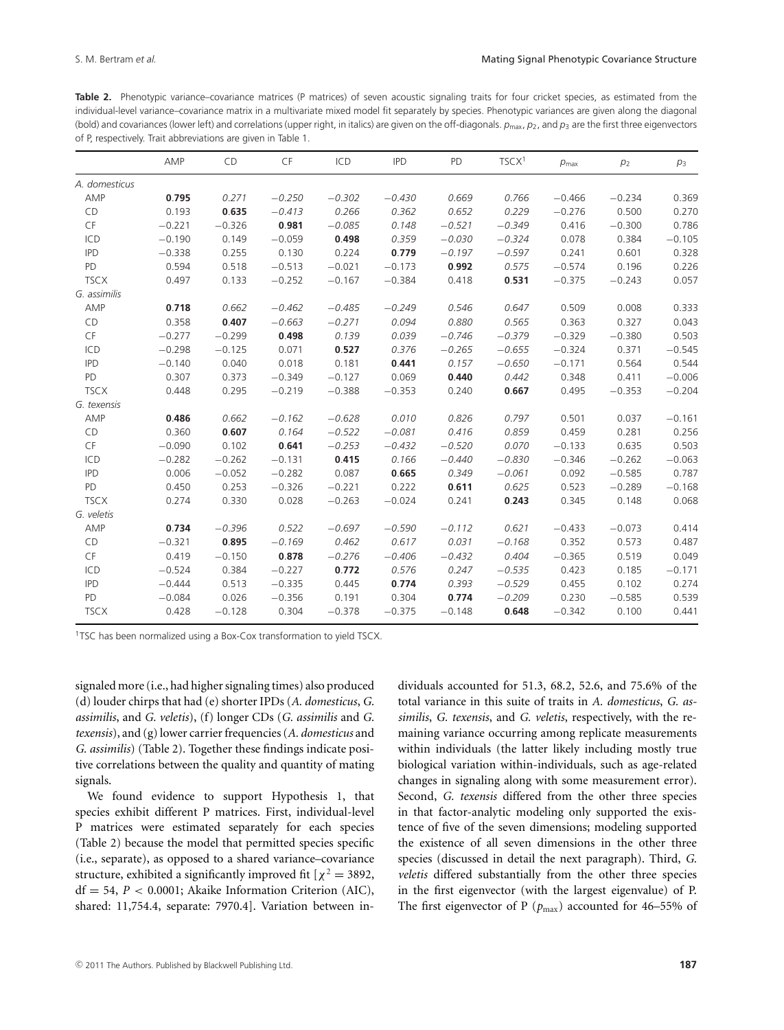Table 2. Phenotypic variance–covariance matrices (P matrices) of seven acoustic signaling traits for four cricket species, as estimated from the individual-level variance–covariance matrix in a multivariate mixed model fit separately by species. Phenotypic variances are given along the diagonal (bold) and covariances (lower left) and correlations (upper right, in italics) are given on the off-diagonals.  $p_{\text{max}}$ ,  $p_2$ , and  $p_3$  are the first three eigenvectors of P, respectively. Trait abbreviations are given in Table 1.

|               | AMP      | CD       | CF       | ICD      | <b>IPD</b> | PD       | TSCX <sup>1</sup> | $p_{\text{max}}$ | $p_2$    | $p_3$    |
|---------------|----------|----------|----------|----------|------------|----------|-------------------|------------------|----------|----------|
| A. domesticus |          |          |          |          |            |          |                   |                  |          |          |
| AMP           | 0.795    | 0.271    | $-0.250$ | $-0.302$ | $-0.430$   | 0.669    | 0.766             | $-0.466$         | $-0.234$ | 0.369    |
| CD            | 0.193    | 0.635    | $-0.413$ | 0.266    | 0.362      | 0.652    | 0.229             | $-0.276$         | 0.500    | 0.270    |
| CF            | $-0.221$ | $-0.326$ | 0.981    | $-0.085$ | 0.148      | $-0.521$ | $-0.349$          | 0.416            | $-0.300$ | 0.786    |
| ICD           | $-0.190$ | 0.149    | $-0.059$ | 0.498    | 0.359      | $-0.030$ | $-0.324$          | 0.078            | 0.384    | $-0.105$ |
| <b>IPD</b>    | $-0.338$ | 0.255    | 0.130    | 0.224    | 0.779      | $-0.197$ | $-0.597$          | 0.241            | 0.601    | 0.328    |
| PD            | 0.594    | 0.518    | $-0.513$ | $-0.021$ | $-0.173$   | 0.992    | 0.575             | $-0.574$         | 0.196    | 0.226    |
| <b>TSCX</b>   | 0.497    | 0.133    | $-0.252$ | $-0.167$ | $-0.384$   | 0.418    | 0.531             | $-0.375$         | $-0.243$ | 0.057    |
| G. assimilis  |          |          |          |          |            |          |                   |                  |          |          |
| AMP           | 0.718    | 0.662    | $-0.462$ | $-0.485$ | $-0.249$   | 0.546    | 0.647             | 0.509            | 0.008    | 0.333    |
| CD            | 0.358    | 0.407    | $-0.663$ | $-0.271$ | 0.094      | 0.880    | 0.565             | 0.363            | 0.327    | 0.043    |
| CF            | $-0.277$ | $-0.299$ | 0.498    | 0.139    | 0.039      | $-0.746$ | $-0.379$          | $-0.329$         | $-0.380$ | 0.503    |
| ICD           | $-0.298$ | $-0.125$ | 0.071    | 0.527    | 0.376      | $-0.265$ | $-0.655$          | $-0.324$         | 0.371    | $-0.545$ |
| <b>IPD</b>    | $-0.140$ | 0.040    | 0.018    | 0.181    | 0.441      | 0.157    | $-0.650$          | $-0.171$         | 0.564    | 0.544    |
| PD            | 0.307    | 0.373    | $-0.349$ | $-0.127$ | 0.069      | 0.440    | 0.442             | 0.348            | 0.411    | $-0.006$ |
| <b>TSCX</b>   | 0.448    | 0.295    | $-0.219$ | $-0.388$ | $-0.353$   | 0.240    | 0.667             | 0.495            | $-0.353$ | $-0.204$ |
| G. texensis   |          |          |          |          |            |          |                   |                  |          |          |
| AMP           | 0.486    | 0.662    | $-0.162$ | $-0.628$ | 0.010      | 0.826    | 0.797             | 0.501            | 0.037    | $-0.161$ |
| CD            | 0.360    | 0.607    | 0.164    | $-0.522$ | $-0.081$   | 0.416    | 0.859             | 0.459            | 0.281    | 0.256    |
| CF            | $-0.090$ | 0.102    | 0.641    | $-0.253$ | $-0.432$   | $-0.520$ | 0.070             | $-0.133$         | 0.635    | 0.503    |
| ICD           | $-0.282$ | $-0.262$ | $-0.131$ | 0.415    | 0.166      | $-0.440$ | $-0.830$          | $-0.346$         | $-0.262$ | $-0.063$ |
| <b>IPD</b>    | 0.006    | $-0.052$ | $-0.282$ | 0.087    | 0.665      | 0.349    | $-0.061$          | 0.092            | $-0.585$ | 0.787    |
| PD            | 0.450    | 0.253    | $-0.326$ | $-0.221$ | 0.222      | 0.611    | 0.625             | 0.523            | $-0.289$ | $-0.168$ |
| <b>TSCX</b>   | 0.274    | 0.330    | 0.028    | $-0.263$ | $-0.024$   | 0.241    | 0.243             | 0.345            | 0.148    | 0.068    |
| G. veletis    |          |          |          |          |            |          |                   |                  |          |          |
| AMP           | 0.734    | $-0.396$ | 0.522    | $-0.697$ | $-0.590$   | $-0.112$ | 0.621             | $-0.433$         | $-0.073$ | 0.414    |
| CD            | $-0.321$ | 0.895    | $-0.169$ | 0.462    | 0.617      | 0.031    | $-0.168$          | 0.352            | 0.573    | 0.487    |
| CF            | 0.419    | $-0.150$ | 0.878    | $-0.276$ | $-0.406$   | $-0.432$ | 0.404             | $-0.365$         | 0.519    | 0.049    |
| ICD           | $-0.524$ | 0.384    | $-0.227$ | 0.772    | 0.576      | 0.247    | $-0.535$          | 0.423            | 0.185    | $-0.171$ |
| <b>IPD</b>    | $-0.444$ | 0.513    | $-0.335$ | 0.445    | 0.774      | 0.393    | $-0.529$          | 0.455            | 0.102    | 0.274    |
| PD            | $-0.084$ | 0.026    | $-0.356$ | 0.191    | 0.304      | 0.774    | $-0.209$          | 0.230            | $-0.585$ | 0.539    |
| <b>TSCX</b>   | 0.428    | $-0.128$ | 0.304    | $-0.378$ | $-0.375$   | $-0.148$ | 0.648             | $-0.342$         | 0.100    | 0.441    |

<sup>1</sup>TSC has been normalized using a Box-Cox transformation to yield TSCX.

signaled more (i.e., had higher signaling times) also produced (d) louder chirps that had (e) shorter IPDs (*A. domesticus*, *G. assimilis*, and *G. veletis*), (f) longer CDs (*G. assimilis* and *G. texensis*), and (g) lower carrier frequencies (*A. domesticus* and *G. assimilis*) (Table 2). Together these findings indicate positive correlations between the quality and quantity of mating signals.

We found evidence to support Hypothesis 1, that species exhibit different P matrices. First, individual-level P matrices were estimated separately for each species (Table 2) because the model that permitted species specific (i.e., separate), as opposed to a shared variance–covariance structure, exhibited a significantly improved fit  $[\chi^2 = 3892,$ df = 54, *P* < 0.0001; Akaike Information Criterion (AIC), shared: 11,754.4, separate: 7970.4]. Variation between individuals accounted for 51.3, 68.2, 52.6, and 75.6% of the total variance in this suite of traits in *A. domesticus*, *G. assimilis*, *G. texensis*, and *G. veletis*, respectively, with the remaining variance occurring among replicate measurements within individuals (the latter likely including mostly true biological variation within-individuals, such as age-related changes in signaling along with some measurement error). Second, *G. texensis* differed from the other three species in that factor-analytic modeling only supported the existence of five of the seven dimensions; modeling supported the existence of all seven dimensions in the other three species (discussed in detail the next paragraph). Third, *G. veletis* differed substantially from the other three species in the first eigenvector (with the largest eigenvalue) of P. The first eigenvector of P ( $p_{\text{max}}$ ) accounted for 46–55% of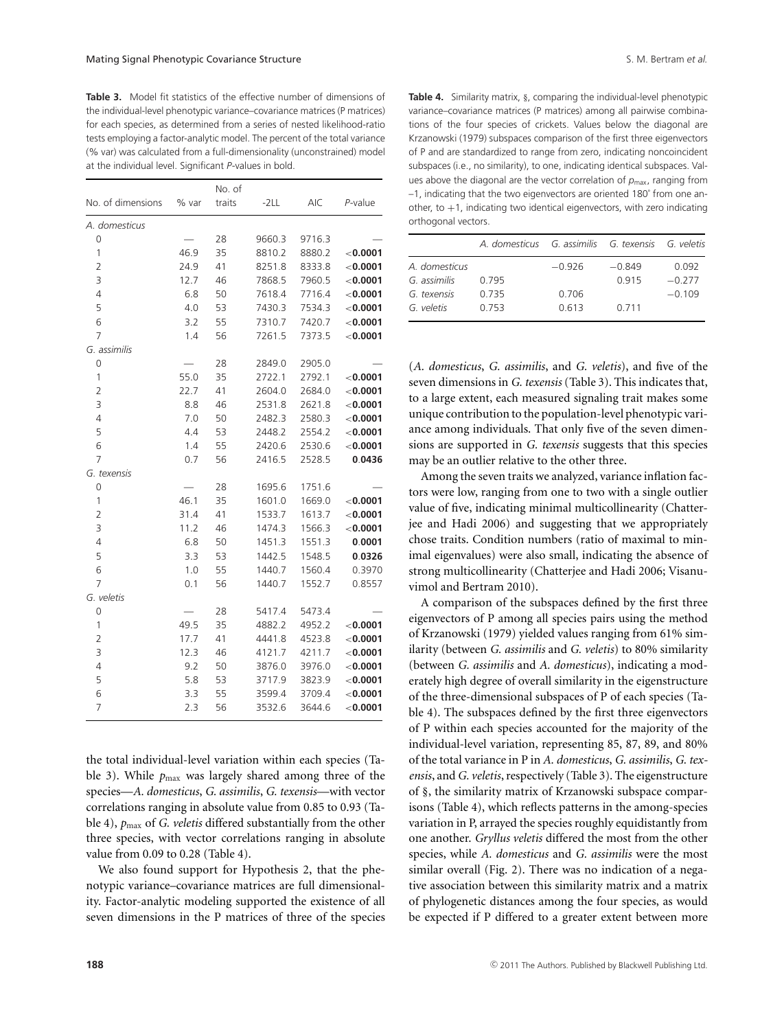**Table 3.** Model fit statistics of the effective number of dimensions of the individual-level phenotypic variance–covariance matrices (P matrices) for each species, as determined from a series of nested likelihood-ratio tests employing a factor-analytic model. The percent of the total variance (% var) was calculated from a full-dimensionality (unconstrained) model at the individual level. Significant *P*-values in bold.

|                   |       | No. of |        |        |             |
|-------------------|-------|--------|--------|--------|-------------|
| No. of dimensions | % var | traits | $-2LL$ | AIC    | P-value     |
| A. domesticus     |       |        |        |        |             |
| 0                 |       | 28     | 9660.3 | 9716.3 |             |
| 1                 | 46.9  | 35     | 8810.2 | 8880.2 | $<$ 0.0001  |
| $\overline{2}$    | 24.9  | 41     | 8251.8 | 8333.8 | $<$ 0.0001  |
| 3                 | 12.7  | 46     | 7868.5 | 7960.5 | $<$ 0.0001  |
| $\overline{4}$    | 6.8   | 50     | 7618.4 | 7716.4 | < 0.0001    |
| 5                 | 4.0   | 53     | 7430.3 | 7534.3 | < 0.0001    |
| 6                 | 3.2   | 55     | 7310.7 | 7420.7 | $<$ 0.0001  |
| 7                 | 1.4   | 56     | 7261.5 | 7373.5 | < 0.0001    |
| G. assimilis      |       |        |        |        |             |
| 0                 |       | 28     | 2849.0 | 2905.0 |             |
| 1                 | 55.0  | 35     | 2722.1 | 2792.1 | $<$ 0.0001  |
| $\overline{2}$    | 22.7  | 41     | 2604.0 | 2684.0 | $<$ 0.0001  |
| 3                 | 8.8   | 46     | 2531.8 | 2621.8 | < 0.0001    |
| 4                 | 7.0   | 50     | 2482.3 | 2580.3 | < 0.0001    |
| 5                 | 4.4   | 53     | 2448.2 | 2554.2 | $<$ 0.0001  |
| 6                 | 1.4   | 55     | 2420.6 | 2530.6 | $<$ 0.0001  |
| $\overline{7}$    | 0.7   | 56     | 2416.5 | 2528.5 | 0.0436      |
| G. texensis       |       |        |        |        |             |
| 0                 |       | 28     | 1695.6 | 1751.6 |             |
| 1                 | 46.1  | 35     | 1601.0 | 1669.0 | < 0.0001    |
| $\overline{2}$    | 31.4  | 41     | 1533.7 | 1613.7 | $<$ 0.0001  |
| 3                 | 11.2  | 46     | 1474.3 | 1566.3 | $<$ 0.0001  |
| 4                 | 6.8   | 50     | 1451.3 | 1551.3 | 0.0001      |
| 5                 | 3.3   | 53     | 1442.5 | 1548.5 | 0.0326      |
| 6                 | 1.0   | 55     | 1440.7 | 1560.4 | 0.3970      |
| $\overline{7}$    | 0.1   | 56     | 1440.7 | 1552.7 | 0.8557      |
| G. veletis        |       |        |        |        |             |
| 0                 |       | 28     | 5417.4 | 5473.4 |             |
| 1                 | 49.5  | 35     | 4882.2 | 4952.2 | < 0.0001    |
| $\overline{2}$    | 17.7  | 41     | 4441.8 | 4523.8 | $<$ 0.0001  |
| 3                 | 12.3  | 46     | 4121.7 | 4211.7 | ${<}0.0001$ |
| 4                 | 9.2   | 50     | 3876.0 | 3976.0 | $<$ 0.0001  |
| 5                 | 5.8   | 53     | 3717.9 | 3823.9 | $<$ 0.0001  |
| 6                 | 3.3   | 55     | 3599.4 | 3709.4 | < 0.0001    |
| 7                 | 2.3   | 56     | 3532.6 | 3644.6 | $<$ 0.0001  |

the total individual-level variation within each species (Table 3). While  $p_{\text{max}}$  was largely shared among three of the species—*A. domesticus*, *G. assimilis*, *G. texensis*—with vector correlations ranging in absolute value from 0.85 to 0.93 (Table 4),  $p_{\text{max}}$  of *G. veletis* differed substantially from the other three species, with vector correlations ranging in absolute value from 0.09 to 0.28 (Table 4).

We also found support for Hypothesis 2, that the phenotypic variance–covariance matrices are full dimensionality. Factor-analytic modeling supported the existence of all seven dimensions in the P matrices of three of the species

**Table 4.** Similarity matrix, §, comparing the individual-level phenotypic variance–covariance matrices (P matrices) among all pairwise combinations of the four species of crickets. Values below the diagonal are Krzanowski (1979) subspaces comparison of the first three eigenvectors of P and are standardized to range from zero, indicating noncoincident subspaces (i.e., no similarity), to one, indicating identical subspaces. Values above the diagonal are the vector correlation of  $p_{\text{max}}$ , ranging from –1, indicating that the two eigenvectors are oriented 180˚ from one another, to  $+1$ , indicating two identical eigenvectors, with zero indicating orthogonal vectors.

|               | A. domesticus G. assimilis G. texensis G. veletis |          |          |          |
|---------------|---------------------------------------------------|----------|----------|----------|
| A. domesticus |                                                   | $-0.926$ | $-0.849$ | 0.092    |
| G. assimilis  | 0.795                                             |          | 0915     | $-0.277$ |
| G. texensis   | 0.735                                             | 0.706    |          | $-0.109$ |
| G. veletis    | 0.753                                             | 0.613    | 0 7 1 1  |          |

(*A. domesticus*, *G. assimilis*, and *G. veletis*), and five of the seven dimensions in *G. texensis* (Table 3). This indicates that, to a large extent, each measured signaling trait makes some unique contribution to the population-level phenotypic variance among individuals. That only five of the seven dimensions are supported in *G. texensis* suggests that this species may be an outlier relative to the other three.

Among the seven traits we analyzed, variance inflation factors were low, ranging from one to two with a single outlier value of five, indicating minimal multicollinearity (Chatterjee and Hadi 2006) and suggesting that we appropriately chose traits. Condition numbers (ratio of maximal to minimal eigenvalues) were also small, indicating the absence of strong multicollinearity (Chatterjee and Hadi 2006; Visanuvimol and Bertram 2010).

A comparison of the subspaces defined by the first three eigenvectors of P among all species pairs using the method of Krzanowski (1979) yielded values ranging from 61% similarity (between *G. assimilis* and *G. veletis*) to 80% similarity (between *G. assimilis* and *A. domesticus*), indicating a moderately high degree of overall similarity in the eigenstructure of the three-dimensional subspaces of P of each species (Table 4). The subspaces defined by the first three eigenvectors of P within each species accounted for the majority of the individual-level variation, representing 85, 87, 89, and 80% of the total variance in P in *A. domesticus*, *G. assimilis*, *G. texensis*, and*G. veletis*, respectively (Table 3). The eigenstructure of §, the similarity matrix of Krzanowski subspace comparisons (Table 4), which reflects patterns in the among-species variation in P, arrayed the species roughly equidistantly from one another. *Gryllus veletis* differed the most from the other species, while *A. domesticus* and *G. assimilis* were the most similar overall (Fig. 2). There was no indication of a negative association between this similarity matrix and a matrix of phylogenetic distances among the four species, as would be expected if P differed to a greater extent between more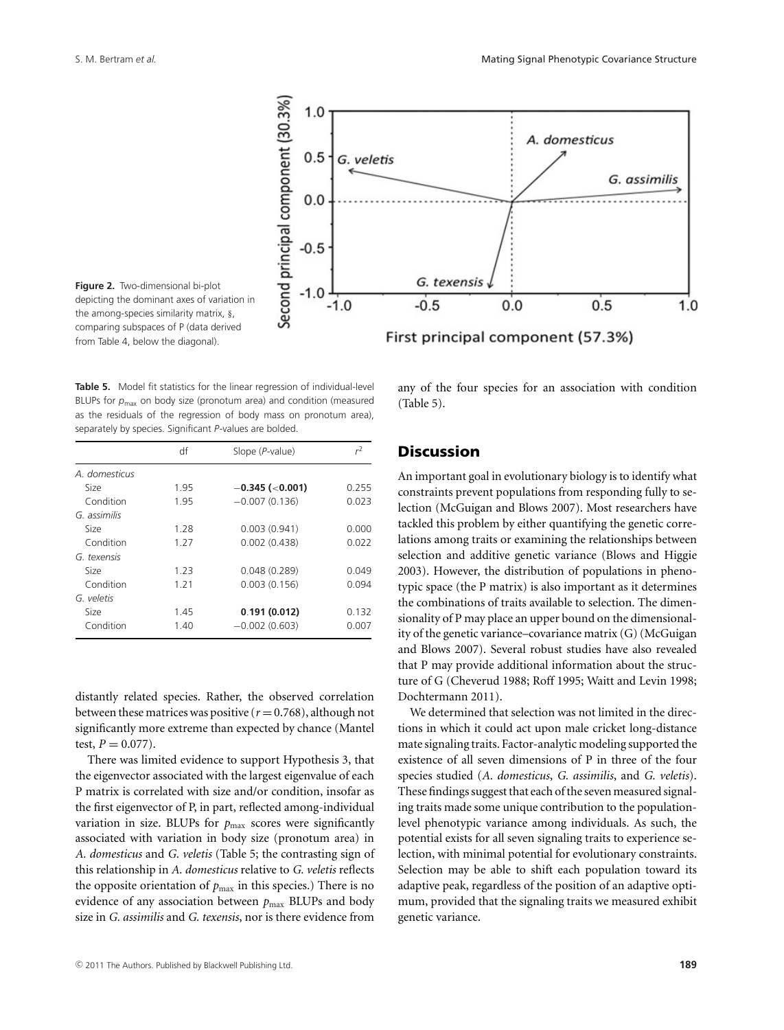

**Figure 2.** Two-dimensional bi-plot depicting the dominant axes of variation in the among-species similarity matrix, §, comparing subspaces of P (data derived from Table 4, below the diagonal).

**Table 5.** Model fit statistics for the linear regression of individual-level BLUPs for  $p_{\text{max}}$  on body size (pronotum area) and condition (measured as the residuals of the regression of body mass on pronotum area), separately by species. Significant *P*-values are bolded.

|              | df    | Slope (P-value)       | $r^2$ |
|--------------|-------|-----------------------|-------|
| A domesticus |       |                       |       |
| Size         | 1.95  | $-0.345$ ( $<$ 0.001) | 0.255 |
| Condition    | 1.95  | $-0.007(0.136)$       | 0.023 |
| G assimilis  |       |                       |       |
| Size         | 1.28  | 0.003(0.941)          | 0.000 |
| Condition    | 1 27  | 0.002(0.438)          | 0.022 |
| G. texensis  |       |                       |       |
| Size         | 1.23  | 0.048(0.289)          | 0.049 |
| Condition    | 1 2 1 | 0.003(0.156)          | 0.094 |
| G. veletis   |       |                       |       |
| Size         | 1.45  | 0.191(0.012)          | 0.132 |
| Condition    | 1.40  | $-0.002(0.603)$       | 0.007 |

distantly related species. Rather, the observed correlation between these matrices was positive ( $r = 0.768$ ), although not significantly more extreme than expected by chance (Mantel test,  $P = 0.077$ ).

There was limited evidence to support Hypothesis 3, that the eigenvector associated with the largest eigenvalue of each P matrix is correlated with size and/or condition, insofar as the first eigenvector of P, in part, reflected among-individual variation in size. BLUPs for  $p_{\text{max}}$  scores were significantly associated with variation in body size (pronotum area) in *A. domesticus* and *G. veletis* (Table 5; the contrasting sign of this relationship in *A. domesticus* relative to *G. veletis* reflects the opposite orientation of  $p_{\text{max}}$  in this species.) There is no evidence of any association between  $p_{\text{max}}$  BLUPs and body size in *G. assimilis* and *G. texensis*, nor is there evidence from any of the four species for an association with condition (Table 5).

# **Discussion**

An important goal in evolutionary biology is to identify what constraints prevent populations from responding fully to selection (McGuigan and Blows 2007). Most researchers have tackled this problem by either quantifying the genetic correlations among traits or examining the relationships between selection and additive genetic variance (Blows and Higgie 2003). However, the distribution of populations in phenotypic space (the P matrix) is also important as it determines the combinations of traits available to selection. The dimensionality of P may place an upper bound on the dimensionality of the genetic variance–covariance matrix (G) (McGuigan and Blows 2007). Several robust studies have also revealed that P may provide additional information about the structure of G (Cheverud 1988; Roff 1995; Waitt and Levin 1998; Dochtermann 2011).

We determined that selection was not limited in the directions in which it could act upon male cricket long-distance mate signaling traits. Factor-analytic modeling supported the existence of all seven dimensions of P in three of the four species studied (*A. domesticus*, *G. assimilis*, and *G. veletis*). These findings suggest that each of the seven measured signaling traits made some unique contribution to the populationlevel phenotypic variance among individuals. As such, the potential exists for all seven signaling traits to experience selection, with minimal potential for evolutionary constraints. Selection may be able to shift each population toward its adaptive peak, regardless of the position of an adaptive optimum, provided that the signaling traits we measured exhibit genetic variance.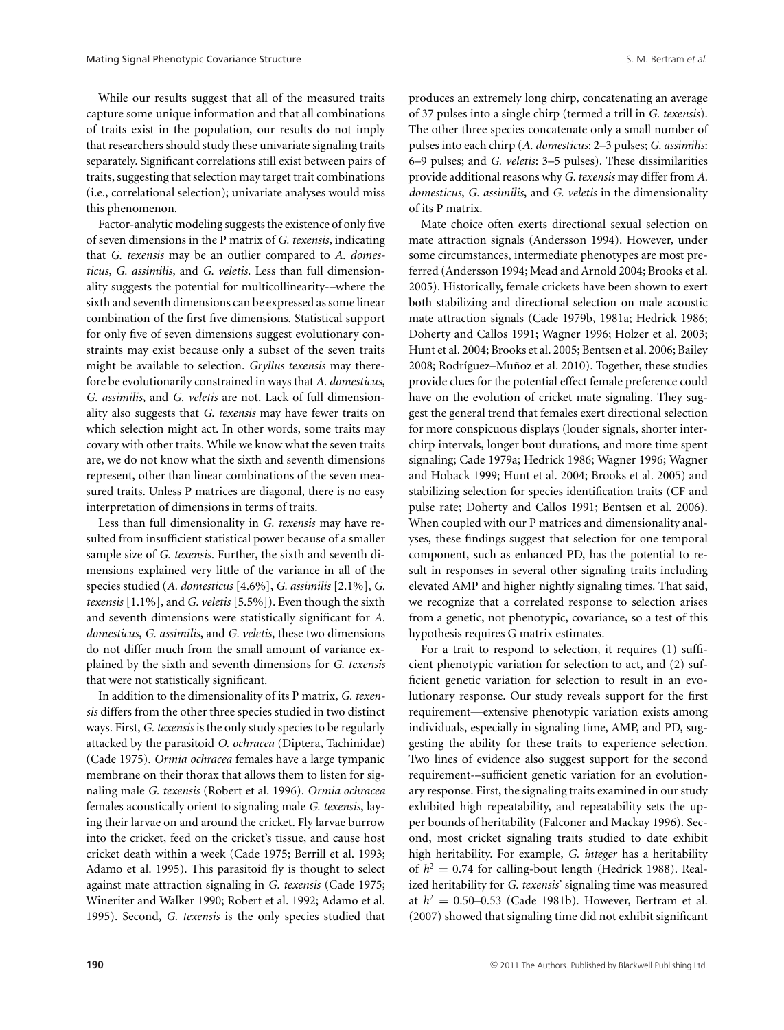While our results suggest that all of the measured traits capture some unique information and that all combinations of traits exist in the population, our results do not imply that researchers should study these univariate signaling traits separately. Significant correlations still exist between pairs of traits, suggesting that selection may target trait combinations (i.e., correlational selection); univariate analyses would miss this phenomenon.

Factor-analytic modeling suggests the existence of only five of seven dimensions in the P matrix of *G. texensis*, indicating that *G. texensis* may be an outlier compared to *A. domesticus*, *G. assimilis*, and *G. veletis*. Less than full dimensionality suggests the potential for multicollinearity-–where the sixth and seventh dimensions can be expressed as some linear combination of the first five dimensions. Statistical support for only five of seven dimensions suggest evolutionary constraints may exist because only a subset of the seven traits might be available to selection. *Gryllus texensis* may therefore be evolutionarily constrained in ways that *A. domesticus*, *G. assimilis*, and *G. veletis* are not. Lack of full dimensionality also suggests that *G. texensis* may have fewer traits on which selection might act. In other words, some traits may covary with other traits. While we know what the seven traits are, we do not know what the sixth and seventh dimensions represent, other than linear combinations of the seven measured traits. Unless P matrices are diagonal, there is no easy interpretation of dimensions in terms of traits.

Less than full dimensionality in *G. texensis* may have resulted from insufficient statistical power because of a smaller sample size of *G. texensis*. Further, the sixth and seventh dimensions explained very little of the variance in all of the species studied (*A. domesticus* [4.6%], *G. assimilis* [2.1%], *G. texensis* [1.1%], and *G. veletis* [5.5%]). Even though the sixth and seventh dimensions were statistically significant for *A. domesticus*, *G. assimilis*, and *G. veletis*, these two dimensions do not differ much from the small amount of variance explained by the sixth and seventh dimensions for *G. texensis* that were not statistically significant.

In addition to the dimensionality of its P matrix, *G. texensis* differs from the other three species studied in two distinct ways. First, *G. texensis* is the only study species to be regularly attacked by the parasitoid *O. ochracea* (Diptera, Tachinidae) (Cade 1975). *Ormia ochracea* females have a large tympanic membrane on their thorax that allows them to listen for signaling male *G. texensis* (Robert et al. 1996). *Ormia ochracea* females acoustically orient to signaling male *G. texensis*, laying their larvae on and around the cricket. Fly larvae burrow into the cricket, feed on the cricket's tissue, and cause host cricket death within a week (Cade 1975; Berrill et al. 1993; Adamo et al. 1995). This parasitoid fly is thought to select against mate attraction signaling in *G. texensis* (Cade 1975; Wineriter and Walker 1990; Robert et al. 1992; Adamo et al. 1995). Second, *G. texensis* is the only species studied that

produces an extremely long chirp, concatenating an average of 37 pulses into a single chirp (termed a trill in *G. texensis*). The other three species concatenate only a small number of pulses into each chirp (*A. domesticus*: 2–3 pulses; *G. assimilis*: 6–9 pulses; and *G. veletis*: 3–5 pulses). These dissimilarities provide additional reasons why *G. texensis* may differ from *A. domesticus*, *G. assimilis*, and *G. veletis* in the dimensionality of its P matrix.

Mate choice often exerts directional sexual selection on mate attraction signals (Andersson 1994). However, under some circumstances, intermediate phenotypes are most preferred (Andersson 1994; Mead and Arnold 2004; Brooks et al. 2005). Historically, female crickets have been shown to exert both stabilizing and directional selection on male acoustic mate attraction signals (Cade 1979b, 1981a; Hedrick 1986; Doherty and Callos 1991; Wagner 1996; Holzer et al. 2003; Hunt et al. 2004; Brooks et al. 2005; Bentsen et al. 2006; Bailey 2008; Rodríguez–Muñoz et al. 2010). Together, these studies provide clues for the potential effect female preference could have on the evolution of cricket mate signaling. They suggest the general trend that females exert directional selection for more conspicuous displays (louder signals, shorter interchirp intervals, longer bout durations, and more time spent signaling; Cade 1979a; Hedrick 1986; Wagner 1996; Wagner and Hoback 1999; Hunt et al. 2004; Brooks et al. 2005) and stabilizing selection for species identification traits (CF and pulse rate; Doherty and Callos 1991; Bentsen et al. 2006). When coupled with our P matrices and dimensionality analyses, these findings suggest that selection for one temporal component, such as enhanced PD, has the potential to result in responses in several other signaling traits including elevated AMP and higher nightly signaling times. That said, we recognize that a correlated response to selection arises from a genetic, not phenotypic, covariance, so a test of this hypothesis requires G matrix estimates.

For a trait to respond to selection, it requires (1) sufficient phenotypic variation for selection to act, and (2) sufficient genetic variation for selection to result in an evolutionary response. Our study reveals support for the first requirement—extensive phenotypic variation exists among individuals, especially in signaling time, AMP, and PD, suggesting the ability for these traits to experience selection. Two lines of evidence also suggest support for the second requirement-–sufficient genetic variation for an evolutionary response. First, the signaling traits examined in our study exhibited high repeatability, and repeatability sets the upper bounds of heritability (Falconer and Mackay 1996). Second, most cricket signaling traits studied to date exhibit high heritability. For example, *G. integer* has a heritability of  $h^2 = 0.74$  for calling-bout length (Hedrick 1988). Realized heritability for *G. texensis*' signaling time was measured at  $h^2 = 0.50{\text -}0.53$  (Cade 1981b). However, Bertram et al. (2007) showed that signaling time did not exhibit significant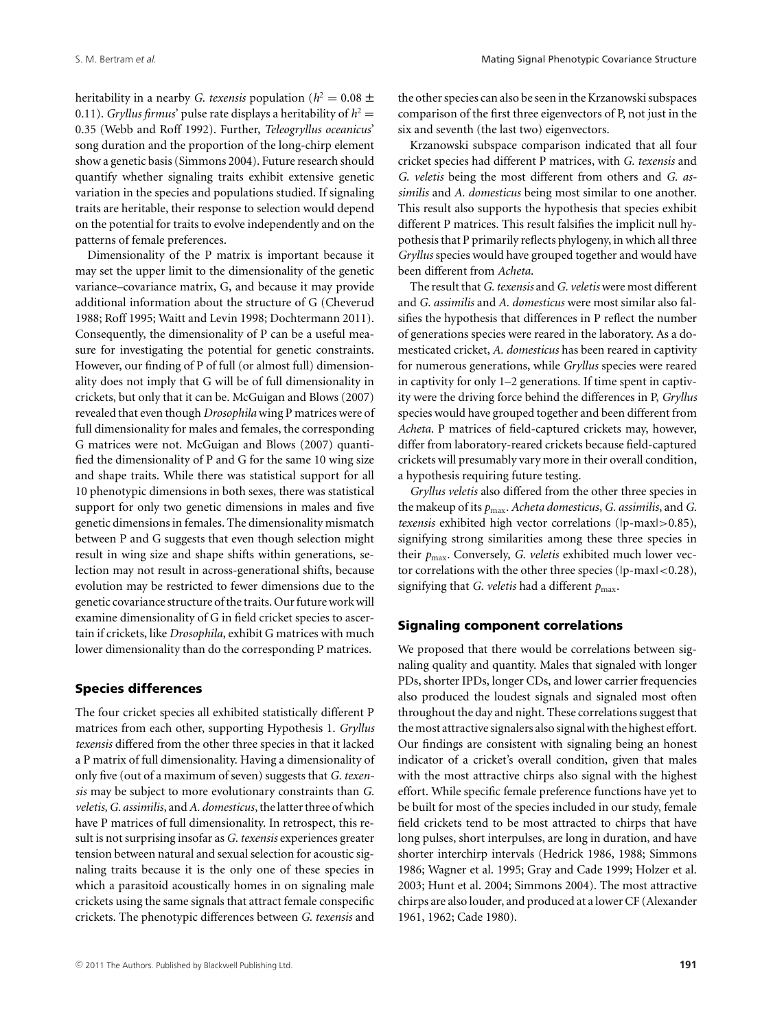heritability in a nearby *G. texensis* population ( $h^2 = 0.08 \pm 1$ 0.11). *Gryllus firmus*' pulse rate displays a heritability of  $h^2$  = 0.35 (Webb and Roff 1992). Further, *Teleogryllus oceanicus*' song duration and the proportion of the long-chirp element show a genetic basis (Simmons 2004). Future research should quantify whether signaling traits exhibit extensive genetic variation in the species and populations studied. If signaling traits are heritable, their response to selection would depend on the potential for traits to evolve independently and on the patterns of female preferences.

Dimensionality of the P matrix is important because it may set the upper limit to the dimensionality of the genetic variance–covariance matrix, G, and because it may provide additional information about the structure of G (Cheverud 1988; Roff 1995; Waitt and Levin 1998; Dochtermann 2011). Consequently, the dimensionality of P can be a useful measure for investigating the potential for genetic constraints. However, our finding of P of full (or almost full) dimensionality does not imply that G will be of full dimensionality in crickets, but only that it can be. McGuigan and Blows (2007) revealed that even though *Drosophila* wing P matrices were of full dimensionality for males and females, the corresponding G matrices were not. McGuigan and Blows (2007) quantified the dimensionality of P and G for the same 10 wing size and shape traits. While there was statistical support for all 10 phenotypic dimensions in both sexes, there was statistical support for only two genetic dimensions in males and five genetic dimensions in females. The dimensionality mismatch between P and G suggests that even though selection might result in wing size and shape shifts within generations, selection may not result in across-generational shifts, because evolution may be restricted to fewer dimensions due to the genetic covariance structure of the traits. Our future work will examine dimensionality of G in field cricket species to ascertain if crickets, like *Drosophila*, exhibit G matrices with much lower dimensionality than do the corresponding P matrices.

### **Species differences**

The four cricket species all exhibited statistically different P matrices from each other, supporting Hypothesis 1. *Gryllus texensis* differed from the other three species in that it lacked a P matrix of full dimensionality. Having a dimensionality of only five (out of a maximum of seven) suggests that *G. texensis* may be subject to more evolutionary constraints than *G. veletis, G. assimilis*, and*A. domesticus*, the latter three of which have P matrices of full dimensionality. In retrospect, this result is not surprising insofar as *G. texensis* experiences greater tension between natural and sexual selection for acoustic signaling traits because it is the only one of these species in which a parasitoid acoustically homes in on signaling male crickets using the same signals that attract female conspecific crickets. The phenotypic differences between *G. texensis* and the other species can also be seen in the Krzanowski subspaces comparison of the first three eigenvectors of P, not just in the six and seventh (the last two) eigenvectors.

Krzanowski subspace comparison indicated that all four cricket species had different P matrices, with *G. texensis* and *G. veletis* being the most different from others and *G. assimilis* and *A. domesticus* being most similar to one another. This result also supports the hypothesis that species exhibit different P matrices. This result falsifies the implicit null hypothesis that P primarily reflects phylogeny, in which all three *Gryllus* species would have grouped together and would have been different from *Acheta*.

The result that*G. texensis* and*G. veletis* were most different and *G. assimilis* and *A. domesticus* were most similar also falsifies the hypothesis that differences in P reflect the number of generations species were reared in the laboratory. As a domesticated cricket, *A. domesticus* has been reared in captivity for numerous generations, while *Gryllus* species were reared in captivity for only 1–2 generations. If time spent in captivity were the driving force behind the differences in P, *Gryllus* species would have grouped together and been different from *Acheta*. P matrices of field-captured crickets may, however, differ from laboratory-reared crickets because field-captured crickets will presumably vary more in their overall condition, a hypothesis requiring future testing.

*Gryllus veletis* also differed from the other three species in the makeup of its *p*max*. Acheta domesticus*, *G. assimilis*, and *G. texensis* exhibited high vector correlations ( $|p-max| > 0.85$ ), signifying strong similarities among these three species in their  $p_{\text{max}}$ . Conversely, *G. veletis* exhibited much lower vector correlations with the other three species ( $|p-max| < 0.28$ ), signifying that *G. veletis* had a different  $p_{\text{max}}$ .

#### **Signaling component correlations**

We proposed that there would be correlations between signaling quality and quantity. Males that signaled with longer PDs, shorter IPDs, longer CDs, and lower carrier frequencies also produced the loudest signals and signaled most often throughout the day and night. These correlations suggest that the most attractive signalers also signal with the highest effort. Our findings are consistent with signaling being an honest indicator of a cricket's overall condition, given that males with the most attractive chirps also signal with the highest effort. While specific female preference functions have yet to be built for most of the species included in our study, female field crickets tend to be most attracted to chirps that have long pulses, short interpulses, are long in duration, and have shorter interchirp intervals (Hedrick 1986, 1988; Simmons 1986; Wagner et al. 1995; Gray and Cade 1999; Holzer et al. 2003; Hunt et al. 2004; Simmons 2004). The most attractive chirps are also louder, and produced at a lower CF (Alexander 1961, 1962; Cade 1980).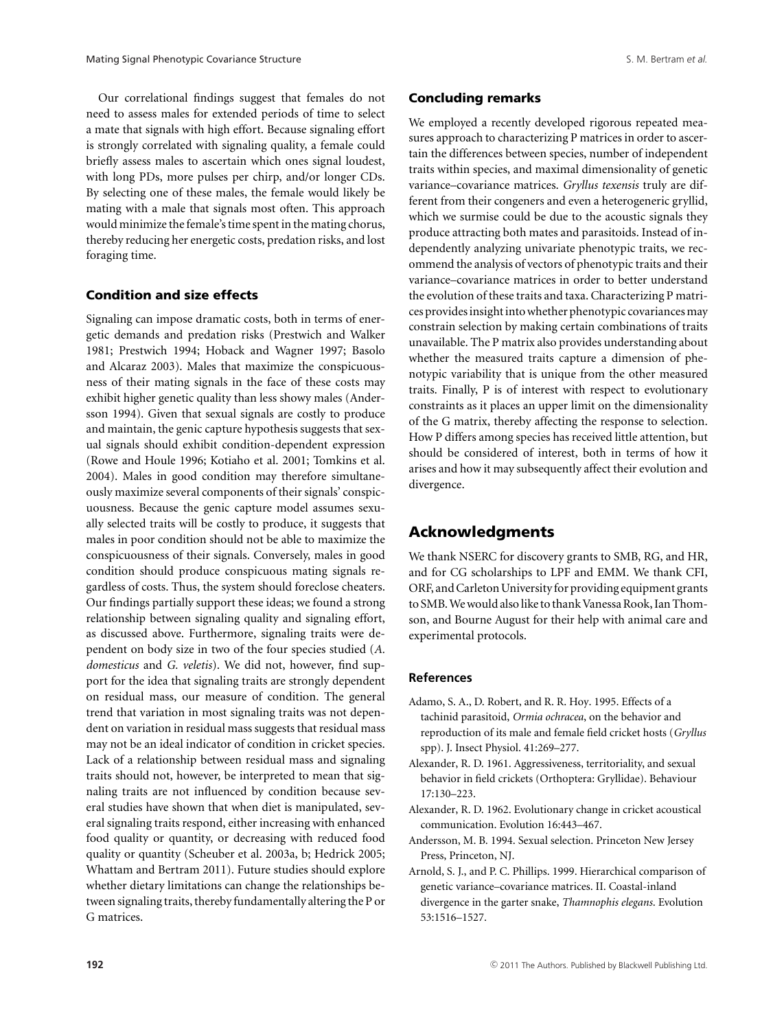Our correlational findings suggest that females do not need to assess males for extended periods of time to select a mate that signals with high effort. Because signaling effort is strongly correlated with signaling quality, a female could briefly assess males to ascertain which ones signal loudest, with long PDs, more pulses per chirp, and/or longer CDs. By selecting one of these males, the female would likely be mating with a male that signals most often. This approach would minimize the female's time spent in the mating chorus, thereby reducing her energetic costs, predation risks, and lost foraging time.

# **Condition and size effects**

Signaling can impose dramatic costs, both in terms of energetic demands and predation risks (Prestwich and Walker 1981; Prestwich 1994; Hoback and Wagner 1997; Basolo and Alcaraz 2003). Males that maximize the conspicuousness of their mating signals in the face of these costs may exhibit higher genetic quality than less showy males (Andersson 1994). Given that sexual signals are costly to produce and maintain, the genic capture hypothesis suggests that sexual signals should exhibit condition-dependent expression (Rowe and Houle 1996; Kotiaho et al. 2001; Tomkins et al. 2004). Males in good condition may therefore simultaneously maximize several components of their signals' conspicuousness. Because the genic capture model assumes sexually selected traits will be costly to produce, it suggests that males in poor condition should not be able to maximize the conspicuousness of their signals. Conversely, males in good condition should produce conspicuous mating signals regardless of costs. Thus, the system should foreclose cheaters. Our findings partially support these ideas; we found a strong relationship between signaling quality and signaling effort, as discussed above. Furthermore, signaling traits were dependent on body size in two of the four species studied (*A. domesticus* and *G. veletis*). We did not, however, find support for the idea that signaling traits are strongly dependent on residual mass, our measure of condition. The general trend that variation in most signaling traits was not dependent on variation in residual mass suggests that residual mass may not be an ideal indicator of condition in cricket species. Lack of a relationship between residual mass and signaling traits should not, however, be interpreted to mean that signaling traits are not influenced by condition because several studies have shown that when diet is manipulated, several signaling traits respond, either increasing with enhanced food quality or quantity, or decreasing with reduced food quality or quantity (Scheuber et al. 2003a, b; Hedrick 2005; Whattam and Bertram 2011). Future studies should explore whether dietary limitations can change the relationships between signaling traits, thereby fundamentally altering the P or G matrices.

# **Concluding remarks**

We employed a recently developed rigorous repeated measures approach to characterizing P matrices in order to ascertain the differences between species, number of independent traits within species, and maximal dimensionality of genetic variance–covariance matrices. *Gryllus texensis* truly are different from their congeners and even a heterogeneric gryllid, which we surmise could be due to the acoustic signals they produce attracting both mates and parasitoids. Instead of independently analyzing univariate phenotypic traits, we recommend the analysis of vectors of phenotypic traits and their variance–covariance matrices in order to better understand the evolution of these traits and taxa. Characterizing P matrices providesinsightintowhether phenotypic covariancesmay constrain selection by making certain combinations of traits unavailable. The P matrix also provides understanding about whether the measured traits capture a dimension of phenotypic variability that is unique from the other measured traits. Finally, P is of interest with respect to evolutionary constraints as it places an upper limit on the dimensionality of the G matrix, thereby affecting the response to selection. How P differs among species has received little attention, but should be considered of interest, both in terms of how it arises and how it may subsequently affect their evolution and divergence.

# **Acknowledgments**

We thank NSERC for discovery grants to SMB, RG, and HR, and for CG scholarships to LPF and EMM. We thank CFI, ORF, and Carleton University for providing equipment grants to SMB.We would also like to thank Vanessa Rook, Ian Thomson, and Bourne August for their help with animal care and experimental protocols.

### **References**

- Adamo, S. A., D. Robert, and R. R. Hoy. 1995. Effects of a tachinid parasitoid, *Ormia ochracea*, on the behavior and reproduction of its male and female field cricket hosts (*Gryllus* spp). J. Insect Physiol. 41:269–277.
- Alexander, R. D. 1961. Aggressiveness, territoriality, and sexual behavior in field crickets (Orthoptera: Gryllidae). Behaviour 17:130–223.
- Alexander, R. D. 1962. Evolutionary change in cricket acoustical communication. Evolution 16:443–467.
- Andersson, M. B. 1994. Sexual selection. Princeton New Jersey Press, Princeton, NJ.
- Arnold, S. J., and P. C. Phillips. 1999. Hierarchical comparison of genetic variance–covariance matrices. II. Coastal-inland divergence in the garter snake, *Thamnophis elegans*. Evolution 53:1516–1527.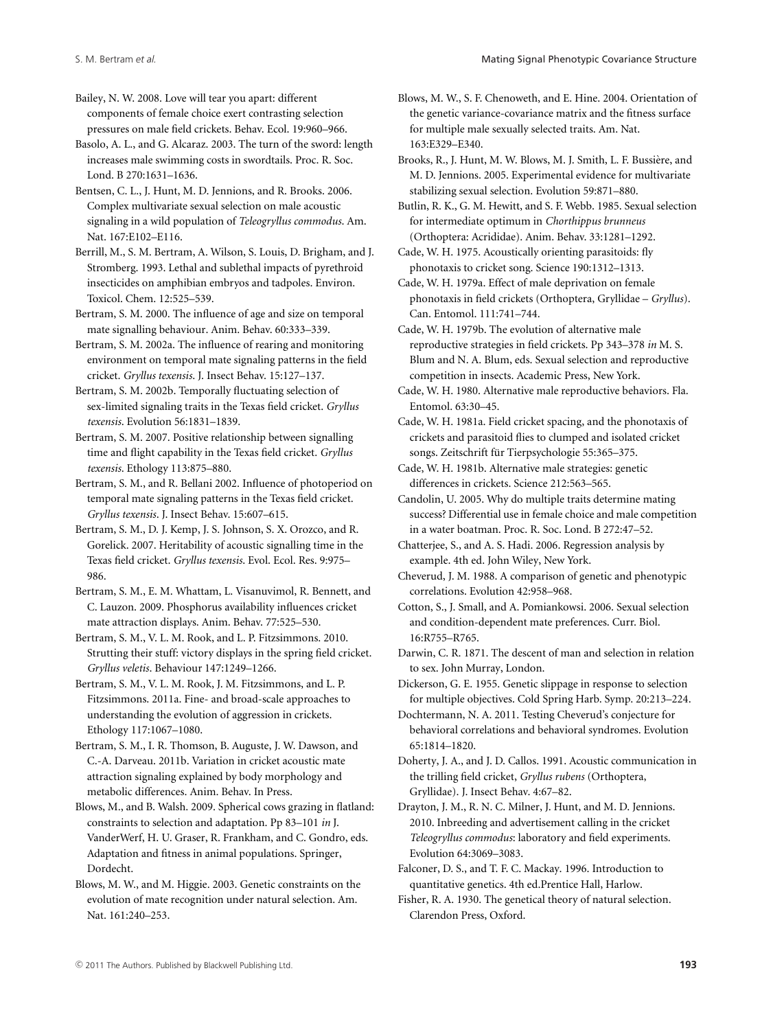Bailey, N. W. 2008. Love will tear you apart: different components of female choice exert contrasting selection pressures on male field crickets. Behav. Ecol. 19:960–966.

Basolo, A. L., and G. Alcaraz. 2003. The turn of the sword: length increases male swimming costs in swordtails. Proc. R. Soc. Lond. B 270:1631–1636.

Bentsen, C. L., J. Hunt, M. D. Jennions, and R. Brooks. 2006. Complex multivariate sexual selection on male acoustic signaling in a wild population of *Teleogryllus commodus*. Am. Nat. 167:E102–E116.

Berrill, M., S. M. Bertram, A. Wilson, S. Louis, D. Brigham, and J. Stromberg. 1993. Lethal and sublethal impacts of pyrethroid insecticides on amphibian embryos and tadpoles. Environ. Toxicol. Chem. 12:525–539.

Bertram, S. M. 2000. The influence of age and size on temporal mate signalling behaviour. Anim. Behav. 60:333–339.

Bertram, S. M. 2002a. The influence of rearing and monitoring environment on temporal mate signaling patterns in the field cricket. *Gryllus texensis*. J. Insect Behav. 15:127–137.

Bertram, S. M. 2002b. Temporally fluctuating selection of sex-limited signaling traits in the Texas field cricket. *Gryllus texensis*. Evolution 56:1831–1839.

Bertram, S. M. 2007. Positive relationship between signalling time and flight capability in the Texas field cricket. *Gryllus texensis*. Ethology 113:875–880.

Bertram, S. M., and R. Bellani 2002. Influence of photoperiod on temporal mate signaling patterns in the Texas field cricket. *Gryllus texensis*. J. Insect Behav. 15:607–615.

Bertram, S. M., D. J. Kemp, J. S. Johnson, S. X. Orozco, and R. Gorelick. 2007. Heritability of acoustic signalling time in the Texas field cricket. *Gryllus texensis*. Evol. Ecol. Res. 9:975– 986.

Bertram, S. M., E. M. Whattam, L. Visanuvimol, R. Bennett, and C. Lauzon. 2009. Phosphorus availability influences cricket mate attraction displays. Anim. Behav. 77:525–530.

Bertram, S. M., V. L. M. Rook, and L. P. Fitzsimmons. 2010. Strutting their stuff: victory displays in the spring field cricket. *Gryllus veletis*. Behaviour 147:1249–1266.

Bertram, S. M., V. L. M. Rook, J. M. Fitzsimmons, and L. P. Fitzsimmons. 2011a. Fine- and broad-scale approaches to understanding the evolution of aggression in crickets. Ethology 117:1067–1080.

Bertram, S. M., I. R. Thomson, B. Auguste, J. W. Dawson, and C.-A. Darveau. 2011b. Variation in cricket acoustic mate attraction signaling explained by body morphology and metabolic differences. Anim. Behav. In Press.

Blows, M., and B. Walsh. 2009. Spherical cows grazing in flatland: constraints to selection and adaptation. Pp 83–101 *in* J. VanderWerf, H. U. Graser, R. Frankham, and C. Gondro, eds. Adaptation and fitness in animal populations. Springer, Dordecht.

Blows, M. W., and M. Higgie. 2003. Genetic constraints on the evolution of mate recognition under natural selection. Am. Nat. 161:240–253.

Blows, M. W., S. F. Chenoweth, and E. Hine. 2004. Orientation of the genetic variance-covariance matrix and the fitness surface for multiple male sexually selected traits. Am. Nat. 163:E329–E340.

Brooks, R., J. Hunt, M. W. Blows, M. J. Smith, L. F. Bussière, and M. D. Jennions. 2005. Experimental evidence for multivariate stabilizing sexual selection. Evolution 59:871–880.

Butlin, R. K., G. M. Hewitt, and S. F. Webb. 1985. Sexual selection for intermediate optimum in *Chorthippus brunneus* (Orthoptera: Acrididae). Anim. Behav. 33:1281–1292.

Cade, W. H. 1975. Acoustically orienting parasitoids: fly phonotaxis to cricket song. Science 190:1312–1313.

Cade, W. H. 1979a. Effect of male deprivation on female phonotaxis in field crickets (Orthoptera, Gryllidae – *Gryllus*). Can. Entomol. 111:741–744.

Cade, W. H. 1979b. The evolution of alternative male reproductive strategies in field crickets. Pp 343–378 *in* M. S. Blum and N. A. Blum, eds. Sexual selection and reproductive competition in insects. Academic Press, New York.

Cade, W. H. 1980. Alternative male reproductive behaviors. Fla. Entomol. 63:30–45.

Cade, W. H. 1981a. Field cricket spacing, and the phonotaxis of crickets and parasitoid flies to clumped and isolated cricket songs. Zeitschrift für Tierpsychologie 55:365–375.

Cade, W. H. 1981b. Alternative male strategies: genetic differences in crickets. Science 212:563–565.

Candolin, U. 2005. Why do multiple traits determine mating success? Differential use in female choice and male competition in a water boatman. Proc. R. Soc. Lond. B 272:47–52.

Chatterjee, S., and A. S. Hadi. 2006. Regression analysis by example. 4th ed. John Wiley, New York.

Cheverud, J. M. 1988. A comparison of genetic and phenotypic correlations. Evolution 42:958–968.

Cotton, S., J. Small, and A. Pomiankowsi. 2006. Sexual selection and condition-dependent mate preferences. Curr. Biol. 16:R755–R765.

Darwin, C. R. 1871. The descent of man and selection in relation to sex. John Murray, London.

Dickerson, G. E. 1955. Genetic slippage in response to selection for multiple objectives. Cold Spring Harb. Symp. 20:213–224.

Dochtermann, N. A. 2011. Testing Cheverud's conjecture for behavioral correlations and behavioral syndromes. Evolution 65:1814–1820.

Doherty, J. A., and J. D. Callos. 1991. Acoustic communication in the trilling field cricket, *Gryllus rubens* (Orthoptera, Gryllidae). J. Insect Behav. 4:67–82.

Drayton, J. M., R. N. C. Milner, J. Hunt, and M. D. Jennions. 2010. Inbreeding and advertisement calling in the cricket *Teleogryllus commodus*: laboratory and field experiments. Evolution 64:3069–3083.

Falconer, D. S., and T. F. C. Mackay. 1996. Introduction to quantitative genetics. 4th ed.Prentice Hall, Harlow.

Fisher, R. A. 1930. The genetical theory of natural selection. Clarendon Press, Oxford.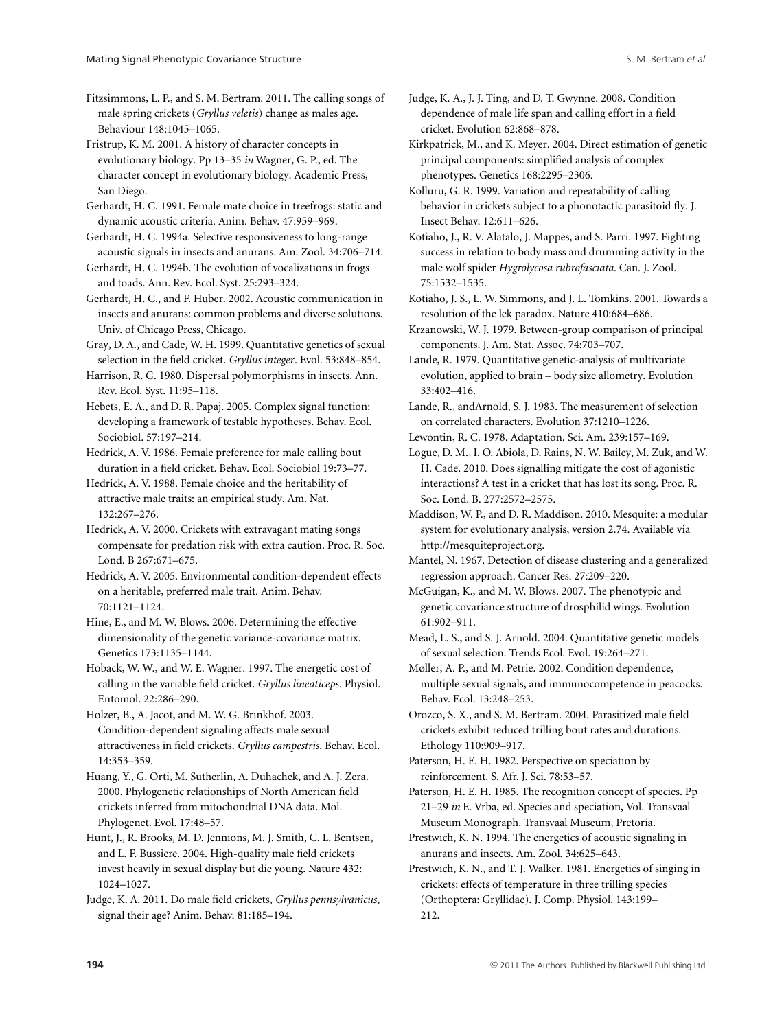Fitzsimmons, L. P., and S. M. Bertram. 2011. The calling songs of male spring crickets (*Gryllus veletis*) change as males age. Behaviour 148:1045–1065.

Fristrup, K. M. 2001. A history of character concepts in evolutionary biology. Pp 13–35 *in* Wagner, G. P., ed. The character concept in evolutionary biology. Academic Press, San Diego.

Gerhardt, H. C. 1991. Female mate choice in treefrogs: static and dynamic acoustic criteria. Anim. Behav. 47:959–969.

Gerhardt, H. C. 1994a. Selective responsiveness to long-range acoustic signals in insects and anurans. Am. Zool. 34:706–714.

Gerhardt, H. C. 1994b. The evolution of vocalizations in frogs and toads. Ann. Rev. Ecol. Syst. 25:293–324.

Gerhardt, H. C., and F. Huber. 2002. Acoustic communication in insects and anurans: common problems and diverse solutions. Univ. of Chicago Press, Chicago.

Gray, D. A., and Cade, W. H. 1999. Quantitative genetics of sexual selection in the field cricket. *Gryllus integer*. Evol. 53:848–854.

Harrison, R. G. 1980. Dispersal polymorphisms in insects. Ann. Rev. Ecol. Syst. 11:95–118.

Hebets, E. A., and D. R. Papaj. 2005. Complex signal function: developing a framework of testable hypotheses. Behav. Ecol. Sociobiol. 57:197–214.

Hedrick, A. V. 1986. Female preference for male calling bout duration in a field cricket. Behav. Ecol. Sociobiol 19:73–77.

Hedrick, A. V. 1988. Female choice and the heritability of attractive male traits: an empirical study. Am. Nat. 132:267–276.

Hedrick, A. V. 2000. Crickets with extravagant mating songs compensate for predation risk with extra caution. Proc. R. Soc. Lond. B 267:671–675.

Hedrick, A. V. 2005. Environmental condition-dependent effects on a heritable, preferred male trait. Anim. Behav. 70:1121–1124.

Hine, E., and M. W. Blows. 2006. Determining the effective dimensionality of the genetic variance-covariance matrix. Genetics 173:1135–1144.

Hoback, W. W., and W. E. Wagner. 1997. The energetic cost of calling in the variable field cricket. *Gryllus lineaticeps*. Physiol. Entomol. 22:286–290.

Holzer, B., A. Jacot, and M. W. G. Brinkhof. 2003. Condition-dependent signaling affects male sexual attractiveness in field crickets. *Gryllus campestris*. Behav. Ecol. 14:353–359.

Huang, Y., G. Orti, M. Sutherlin, A. Duhachek, and A. J. Zera. 2000. Phylogenetic relationships of North American field crickets inferred from mitochondrial DNA data. Mol. Phylogenet. Evol. 17:48–57.

Hunt, J., R. Brooks, M. D. Jennions, M. J. Smith, C. L. Bentsen, and L. F. Bussiere. 2004. High-quality male field crickets invest heavily in sexual display but die young. Nature 432: 1024–1027.

Judge, K. A. 2011. Do male field crickets, *Gryllus pennsylvanicus*, signal their age? Anim. Behav. 81:185–194.

Judge, K. A., J. J. Ting, and D. T. Gwynne. 2008. Condition dependence of male life span and calling effort in a field cricket. Evolution 62:868–878.

Kirkpatrick, M., and K. Meyer. 2004. Direct estimation of genetic principal components: simplified analysis of complex phenotypes. Genetics 168:2295–2306.

Kolluru, G. R. 1999. Variation and repeatability of calling behavior in crickets subject to a phonotactic parasitoid fly. J. Insect Behav. 12:611–626.

Kotiaho, J., R. V. Alatalo, J. Mappes, and S. Parri. 1997. Fighting success in relation to body mass and drumming activity in the male wolf spider *Hygrolycosa rubrofasciata*. Can. J. Zool. 75:1532–1535.

Kotiaho, J. S., L. W. Simmons, and J. L. Tomkins. 2001. Towards a resolution of the lek paradox. Nature 410:684–686.

Krzanowski, W. J. 1979. Between-group comparison of principal components. J. Am. Stat. Assoc. 74:703–707.

Lande, R. 1979. Quantitative genetic-analysis of multivariate evolution, applied to brain – body size allometry. Evolution 33:402–416.

Lande, R., andArnold, S. J. 1983. The measurement of selection on correlated characters. Evolution 37:1210–1226.

Lewontin, R. C. 1978. Adaptation. Sci. Am. 239:157–169.

Logue, D. M., I. O. Abiola, D. Rains, N. W. Bailey, M. Zuk, and W. H. Cade. 2010. Does signalling mitigate the cost of agonistic interactions? A test in a cricket that has lost its song. Proc. R. Soc. Lond. B. 277:2572–2575.

Maddison, W. P., and D. R. Maddison. 2010. Mesquite: a modular system for evolutionary analysis, version 2.74. Available via http://mesquiteproject.org.

Mantel, N. 1967. Detection of disease clustering and a generalized regression approach. Cancer Res. 27:209–220.

McGuigan, K., and M. W. Blows. 2007. The phenotypic and genetic covariance structure of drosphilid wings. Evolution 61:902–911.

Mead, L. S., and S. J. Arnold. 2004. Quantitative genetic models of sexual selection. Trends Ecol. Evol. 19:264–271.

Møller, A. P., and M. Petrie. 2002. Condition dependence, multiple sexual signals, and immunocompetence in peacocks. Behav. Ecol. 13:248–253.

Orozco, S. X., and S. M. Bertram. 2004. Parasitized male field crickets exhibit reduced trilling bout rates and durations. Ethology 110:909–917.

Paterson, H. E. H. 1982. Perspective on speciation by reinforcement. S. Afr. J. Sci. 78:53–57.

Paterson, H. E. H. 1985. The recognition concept of species. Pp 21–29 *in* E. Vrba, ed. Species and speciation, Vol. Transvaal Museum Monograph. Transvaal Museum, Pretoria.

Prestwich, K. N. 1994. The energetics of acoustic signaling in anurans and insects. Am. Zool. 34:625–643.

Prestwich, K. N., and T. J. Walker. 1981. Energetics of singing in crickets: effects of temperature in three trilling species (Orthoptera: Gryllidae). J. Comp. Physiol. 143:199– 212.